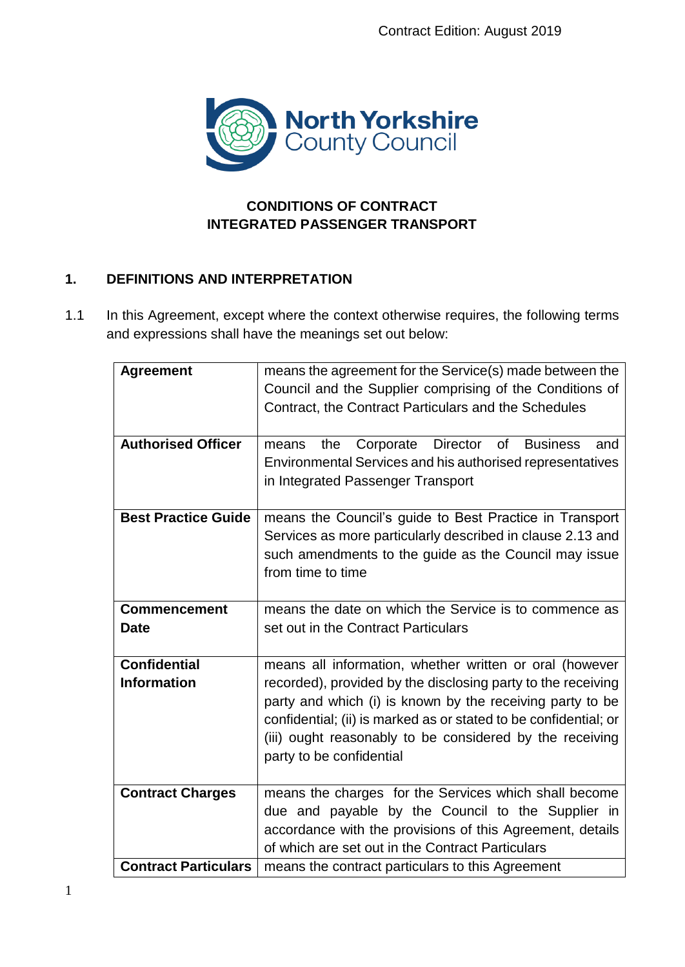

# **CONDITIONS OF CONTRACT INTEGRATED PASSENGER TRANSPORT**

# **1. DEFINITIONS AND INTERPRETATION**

1.1 In this Agreement, except where the context otherwise requires, the following terms and expressions shall have the meanings set out below:

| <b>Agreement</b>                   | means the agreement for the Service(s) made between the<br>Council and the Supplier comprising of the Conditions of<br>Contract, the Contract Particulars and the Schedules                                                                                                                                                                      |  |
|------------------------------------|--------------------------------------------------------------------------------------------------------------------------------------------------------------------------------------------------------------------------------------------------------------------------------------------------------------------------------------------------|--|
| <b>Authorised Officer</b>          | Director<br>the Corporate<br>of<br><b>Business</b><br>means<br>and<br>Environmental Services and his authorised representatives<br>in Integrated Passenger Transport                                                                                                                                                                             |  |
| <b>Best Practice Guide</b>         | means the Council's guide to Best Practice in Transport<br>Services as more particularly described in clause 2.13 and<br>such amendments to the guide as the Council may issue<br>from time to time                                                                                                                                              |  |
| <b>Commencement</b><br><b>Date</b> | means the date on which the Service is to commence as<br>set out in the Contract Particulars                                                                                                                                                                                                                                                     |  |
| Confidential<br><b>Information</b> | means all information, whether written or oral (however<br>recorded), provided by the disclosing party to the receiving<br>party and which (i) is known by the receiving party to be<br>confidential; (ii) is marked as or stated to be confidential; or<br>(iii) ought reasonably to be considered by the receiving<br>party to be confidential |  |
| <b>Contract Charges</b>            | means the charges for the Services which shall become<br>due and payable by the Council to the Supplier in<br>accordance with the provisions of this Agreement, details<br>of which are set out in the Contract Particulars                                                                                                                      |  |
| <b>Contract Particulars</b>        | means the contract particulars to this Agreement                                                                                                                                                                                                                                                                                                 |  |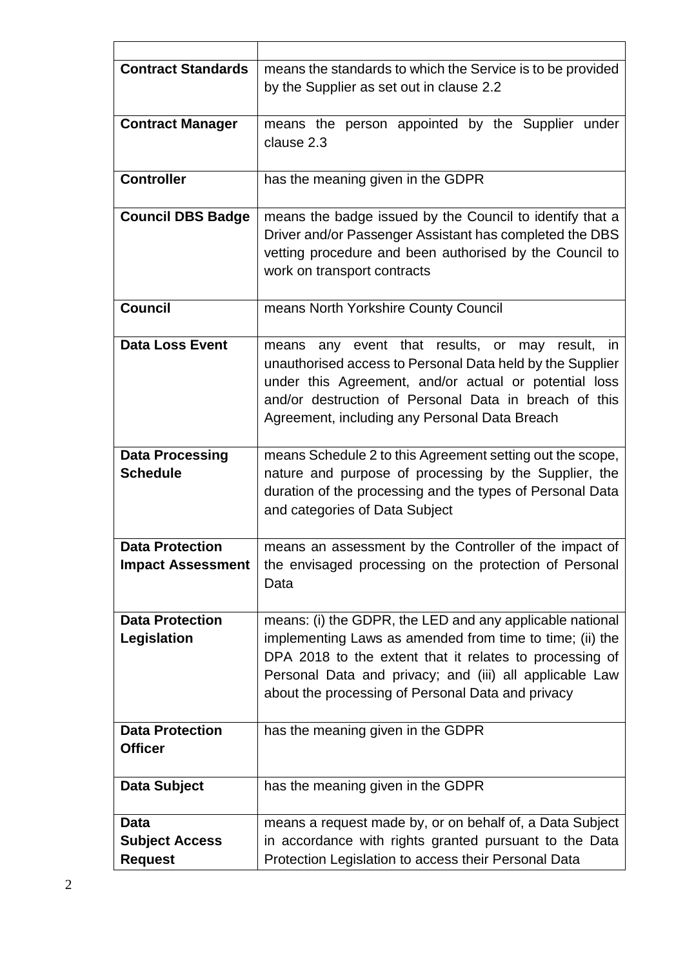| <b>Contract Standards</b>                              | means the standards to which the Service is to be provided<br>by the Supplier as set out in clause 2.2                                                                                                                                                                                          |  |
|--------------------------------------------------------|-------------------------------------------------------------------------------------------------------------------------------------------------------------------------------------------------------------------------------------------------------------------------------------------------|--|
| <b>Contract Manager</b>                                | means the person appointed by the Supplier under<br>clause 2.3                                                                                                                                                                                                                                  |  |
| <b>Controller</b>                                      | has the meaning given in the GDPR                                                                                                                                                                                                                                                               |  |
| <b>Council DBS Badge</b>                               | means the badge issued by the Council to identify that a<br>Driver and/or Passenger Assistant has completed the DBS<br>vetting procedure and been authorised by the Council to<br>work on transport contracts                                                                                   |  |
| Council                                                | means North Yorkshire County Council                                                                                                                                                                                                                                                            |  |
| <b>Data Loss Event</b>                                 | means any event that results, or may result, in<br>unauthorised access to Personal Data held by the Supplier<br>under this Agreement, and/or actual or potential loss<br>and/or destruction of Personal Data in breach of this<br>Agreement, including any Personal Data Breach                 |  |
| <b>Data Processing</b><br><b>Schedule</b>              | means Schedule 2 to this Agreement setting out the scope,<br>nature and purpose of processing by the Supplier, the<br>duration of the processing and the types of Personal Data<br>and categories of Data Subject                                                                               |  |
| <b>Data Protection</b><br><b>Impact Assessment</b>     | means an assessment by the Controller of the impact of<br>the envisaged processing on the protection of Personal<br>Data                                                                                                                                                                        |  |
| <b>Data Protection</b><br>Legislation                  | means: (i) the GDPR, the LED and any applicable national<br>implementing Laws as amended from time to time; (ii) the<br>DPA 2018 to the extent that it relates to processing of<br>Personal Data and privacy; and (iii) all applicable Law<br>about the processing of Personal Data and privacy |  |
| <b>Data Protection</b><br><b>Officer</b>               | has the meaning given in the GDPR                                                                                                                                                                                                                                                               |  |
| <b>Data Subject</b>                                    | has the meaning given in the GDPR                                                                                                                                                                                                                                                               |  |
| <b>Data</b><br><b>Subject Access</b><br><b>Request</b> | means a request made by, or on behalf of, a Data Subject<br>in accordance with rights granted pursuant to the Data<br>Protection Legislation to access their Personal Data                                                                                                                      |  |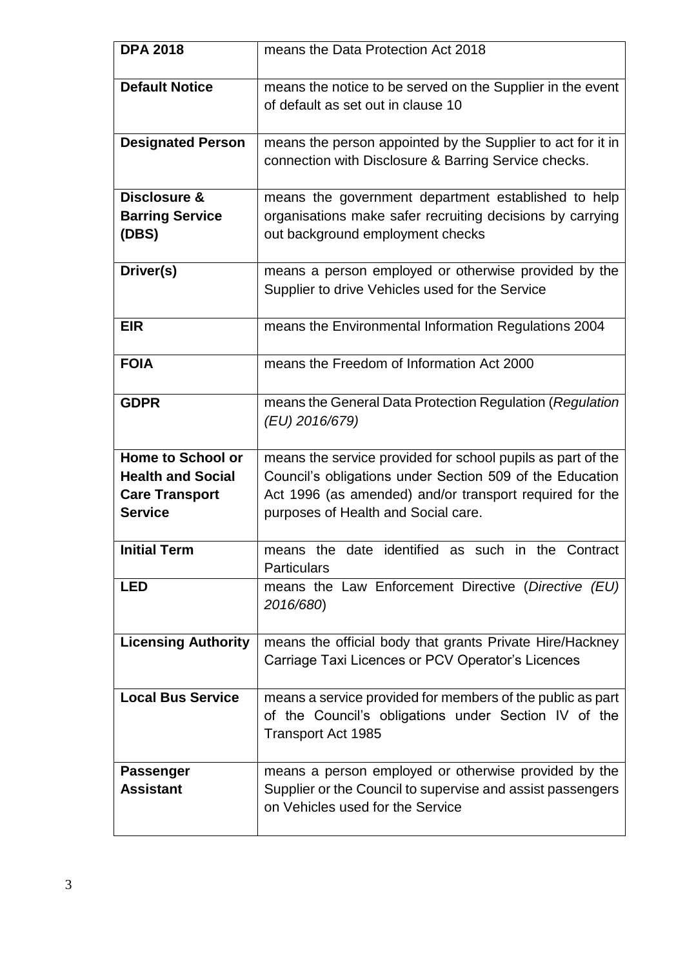| <b>DPA 2018</b>                      | means the Data Protection Act 2018                                                                                                                     |  |
|--------------------------------------|--------------------------------------------------------------------------------------------------------------------------------------------------------|--|
| <b>Default Notice</b>                | means the notice to be served on the Supplier in the event<br>of default as set out in clause 10                                                       |  |
| <b>Designated Person</b>             | means the person appointed by the Supplier to act for it in<br>connection with Disclosure & Barring Service checks.                                    |  |
| <b>Disclosure &amp;</b>              | means the government department established to help                                                                                                    |  |
| <b>Barring Service</b>               | organisations make safer recruiting decisions by carrying                                                                                              |  |
| (DBS)                                | out background employment checks                                                                                                                       |  |
| Driver(s)                            | means a person employed or otherwise provided by the<br>Supplier to drive Vehicles used for the Service                                                |  |
| <b>EIR</b>                           | means the Environmental Information Regulations 2004                                                                                                   |  |
| <b>FOIA</b>                          | means the Freedom of Information Act 2000                                                                                                              |  |
| <b>GDPR</b>                          | means the General Data Protection Regulation (Regulation<br>(EU) 2016/679)                                                                             |  |
| <b>Home to School or</b>             | means the service provided for school pupils as part of the                                                                                            |  |
| <b>Health and Social</b>             | Council's obligations under Section 509 of the Education                                                                                               |  |
| <b>Care Transport</b>                | Act 1996 (as amended) and/or transport required for the                                                                                                |  |
| <b>Service</b>                       | purposes of Health and Social care.                                                                                                                    |  |
| <b>Initial Term</b>                  | identified as such in the<br>date<br>Contract<br>means the<br><b>Particulars</b>                                                                       |  |
| <b>LED</b>                           | means the Law Enforcement Directive (Directive (EU)<br>2016/680)                                                                                       |  |
| <b>Licensing Authority</b>           | means the official body that grants Private Hire/Hackney<br>Carriage Taxi Licences or PCV Operator's Licences                                          |  |
| <b>Local Bus Service</b>             | means a service provided for members of the public as part<br>of the Council's obligations under Section IV of the<br><b>Transport Act 1985</b>        |  |
| <b>Passenger</b><br><b>Assistant</b> | means a person employed or otherwise provided by the<br>Supplier or the Council to supervise and assist passengers<br>on Vehicles used for the Service |  |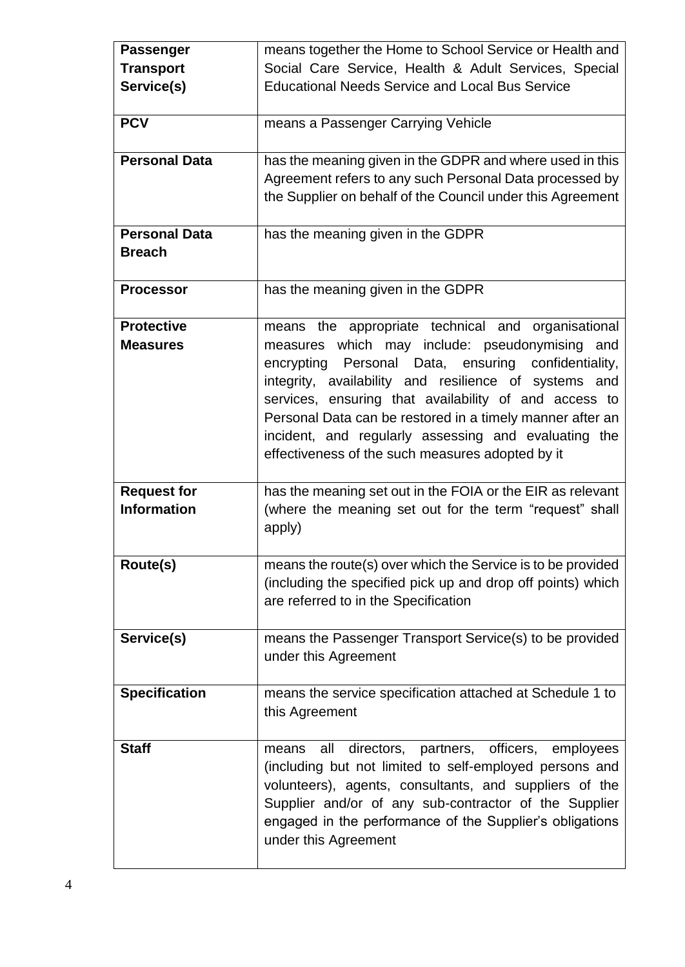| <b>Passenger</b>     | means together the Home to School Service or Health and     |  |
|----------------------|-------------------------------------------------------------|--|
| <b>Transport</b>     | Social Care Service, Health & Adult Services, Special       |  |
| Service(s)           | <b>Educational Needs Service and Local Bus Service</b>      |  |
|                      |                                                             |  |
| <b>PCV</b>           | means a Passenger Carrying Vehicle                          |  |
|                      |                                                             |  |
| <b>Personal Data</b> | has the meaning given in the GDPR and where used in this    |  |
|                      | Agreement refers to any such Personal Data processed by     |  |
|                      | the Supplier on behalf of the Council under this Agreement  |  |
|                      |                                                             |  |
| <b>Personal Data</b> | has the meaning given in the GDPR                           |  |
| <b>Breach</b>        |                                                             |  |
|                      |                                                             |  |
| <b>Processor</b>     | has the meaning given in the GDPR                           |  |
|                      |                                                             |  |
| <b>Protective</b>    | means the appropriate technical and organisational          |  |
| <b>Measures</b>      | measures which may include: pseudonymising and              |  |
|                      | encrypting Personal Data, ensuring confidentiality,         |  |
|                      | integrity, availability and resilience of systems and       |  |
|                      | services, ensuring that availability of and access to       |  |
|                      | Personal Data can be restored in a timely manner after an   |  |
|                      | incident, and regularly assessing and evaluating the        |  |
|                      | effectiveness of the such measures adopted by it            |  |
|                      |                                                             |  |
| <b>Request for</b>   | has the meaning set out in the FOIA or the EIR as relevant  |  |
| <b>Information</b>   | (where the meaning set out for the term "request" shall     |  |
|                      | apply)                                                      |  |
|                      |                                                             |  |
| Route(s)             | means the route(s) over which the Service is to be provided |  |
|                      | (including the specified pick up and drop off points) which |  |
|                      | are referred to in the Specification                        |  |
|                      |                                                             |  |
| Service(s)           | means the Passenger Transport Service(s) to be provided     |  |
|                      | under this Agreement                                        |  |
|                      |                                                             |  |
| <b>Specification</b> | means the service specification attached at Schedule 1 to   |  |
|                      | this Agreement                                              |  |
|                      |                                                             |  |
| <b>Staff</b>         | directors, partners, officers, employees<br>all<br>means    |  |
|                      | (including but not limited to self-employed persons and     |  |
|                      | volunteers), agents, consultants, and suppliers of the      |  |
|                      | Supplier and/or of any sub-contractor of the Supplier       |  |
|                      | engaged in the performance of the Supplier's obligations    |  |
|                      | under this Agreement                                        |  |
|                      |                                                             |  |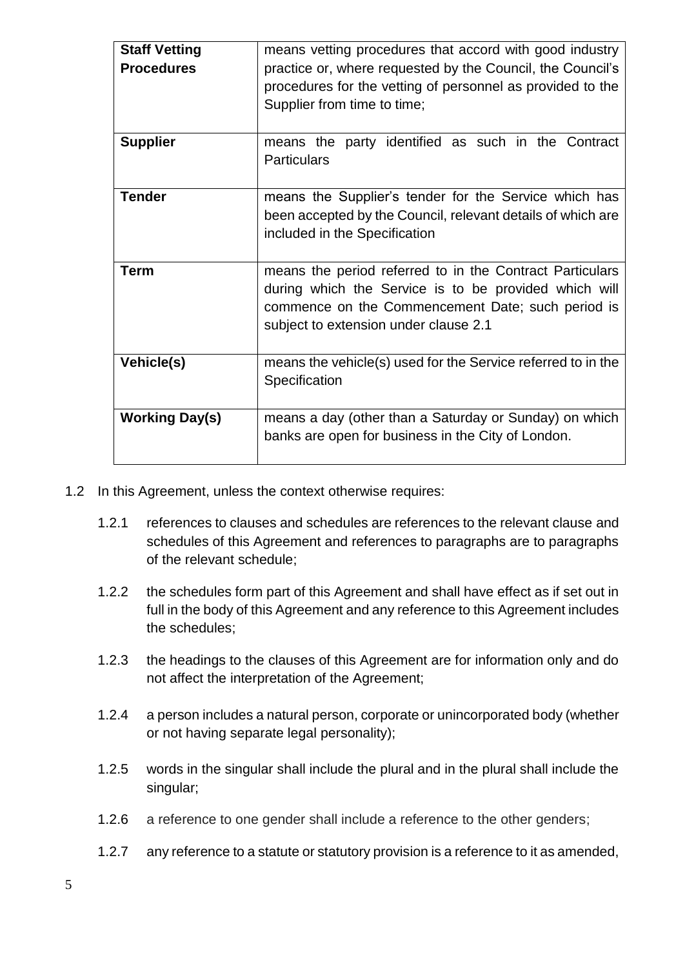| <b>Staff Vetting</b><br><b>Procedures</b> | means vetting procedures that accord with good industry<br>practice or, where requested by the Council, the Council's<br>procedures for the vetting of personnel as provided to the<br>Supplier from time to time; |  |
|-------------------------------------------|--------------------------------------------------------------------------------------------------------------------------------------------------------------------------------------------------------------------|--|
| <b>Supplier</b>                           | means the party identified as such in the Contract<br><b>Particulars</b>                                                                                                                                           |  |
| <b>Tender</b>                             | means the Supplier's tender for the Service which has<br>been accepted by the Council, relevant details of which are<br>included in the Specification                                                              |  |
| <b>Term</b>                               | means the period referred to in the Contract Particulars<br>during which the Service is to be provided which will<br>commence on the Commencement Date; such period is<br>subject to extension under clause 2.1    |  |
| Vehicle(s)                                | means the vehicle(s) used for the Service referred to in the<br>Specification                                                                                                                                      |  |
| <b>Working Day(s)</b>                     | means a day (other than a Saturday or Sunday) on which<br>banks are open for business in the City of London.                                                                                                       |  |

- 1.2 In this Agreement, unless the context otherwise requires:
	- 1.2.1 references to clauses and schedules are references to the relevant clause and schedules of this Agreement and references to paragraphs are to paragraphs of the relevant schedule;
	- 1.2.2 the schedules form part of this Agreement and shall have effect as if set out in full in the body of this Agreement and any reference to this Agreement includes the schedules;
	- 1.2.3 the headings to the clauses of this Agreement are for information only and do not affect the interpretation of the Agreement;
	- 1.2.4 a person includes a natural person, corporate or unincorporated body (whether or not having separate legal personality);
	- 1.2.5 words in the singular shall include the plural and in the plural shall include the singular;
	- 1.2.6 a reference to one gender shall include a reference to the other genders;
	- 1.2.7 any reference to a statute or statutory provision is a reference to it as amended,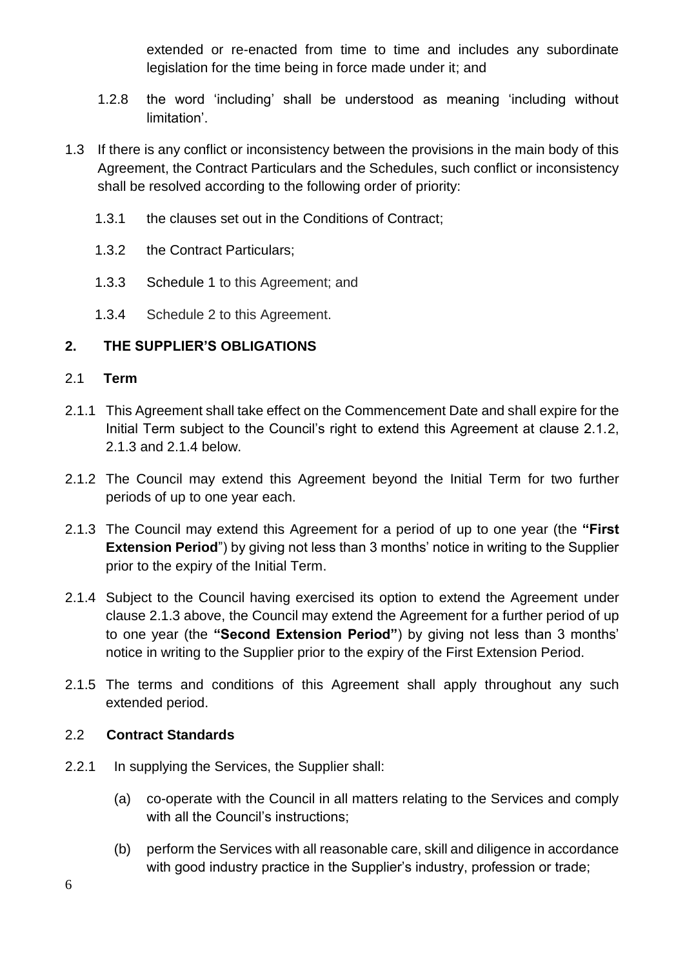extended or re-enacted from time to time and includes any subordinate legislation for the time being in force made under it; and

- 1.2.8 the word 'including' shall be understood as meaning 'including without limitation'.
- 1.3 If there is any conflict or inconsistency between the provisions in the main body of this Agreement, the Contract Particulars and the Schedules, such conflict or inconsistency shall be resolved according to the following order of priority:
	- 1.3.1 the clauses set out in the Conditions of Contract;
	- 1.3.2 the Contract Particulars;
	- 1.3.3 [Schedule 1](https://uk.practicallaw.thomsonreuters.com/Document/Icf31692fe89111e398db8b09b4f043e0/View/FullText.html?navigationPath=Search%2Fv3%2Fsearch%2Fresults%2Fnavigation%2Fi0ad7401500000160f8a2727d2acc825c%3FNav%3DKNOWHOW_UK%26fragmentIdentifier%3DIcf31692fe89111e398db8b09b4f043e0%26startIndex%3D1%26contextData%3D%2528sc.Search%2529%26transitionType%3DSearchItem&listSource=Search&listPageSource=5c848255866c3a299d848bf9104cc994&list=KNOWHOW_UK&rank=3&sessionScopeId=93f59416064ad0fa8242cb3c7b28c04bc3bcebab5801c34c577392e102b502c4&originationContext=Search%20Result&transitionType=SearchItem&contextData=(sc.Search)&navId=E4C533A071F9F0F04DAEB883F88A7347&comp=pluk#co_anchor_a687567) to this Agreement; and
	- 1.3.4 Schedule 2 to this Agreement.

## **2. THE SUPPLIER'S OBLIGATIONS**

#### 2.1 **Term**

- 2.1.1 This Agreement shall take effect on the Commencement Date and shall expire for the Initial Term subject to the Council's right to extend this Agreement at clause 2.1.2, 2.1.3 and 2.1.4 below.
- 2.1.2 The Council may extend this Agreement beyond the Initial Term for two further periods of up to one year each.
- 2.1.3 The Council may extend this Agreement for a period of up to one year (the **"First Extension Period**") by giving not less than 3 months' notice in writing to the Supplier prior to the expiry of the Initial Term.
- 2.1.4 Subject to the Council having exercised its option to extend the Agreement under clause 2.1.3 above, the Council may extend the Agreement for a further period of up to one year (the **"Second Extension Period"**) by giving not less than 3 months' notice in writing to the Supplier prior to the expiry of the First Extension Period.
- 2.1.5 The terms and conditions of this Agreement shall apply throughout any such extended period.

## 2.2 **Contract Standards**

- 2.2.1 In supplying the Services, the Supplier shall:
	- (a) co-operate with the Council in all matters relating to the Services and comply with all the Council's instructions;
	- (b) perform the Services with all reasonable care, skill and diligence in accordance with good industry practice in the Supplier's industry, profession or trade;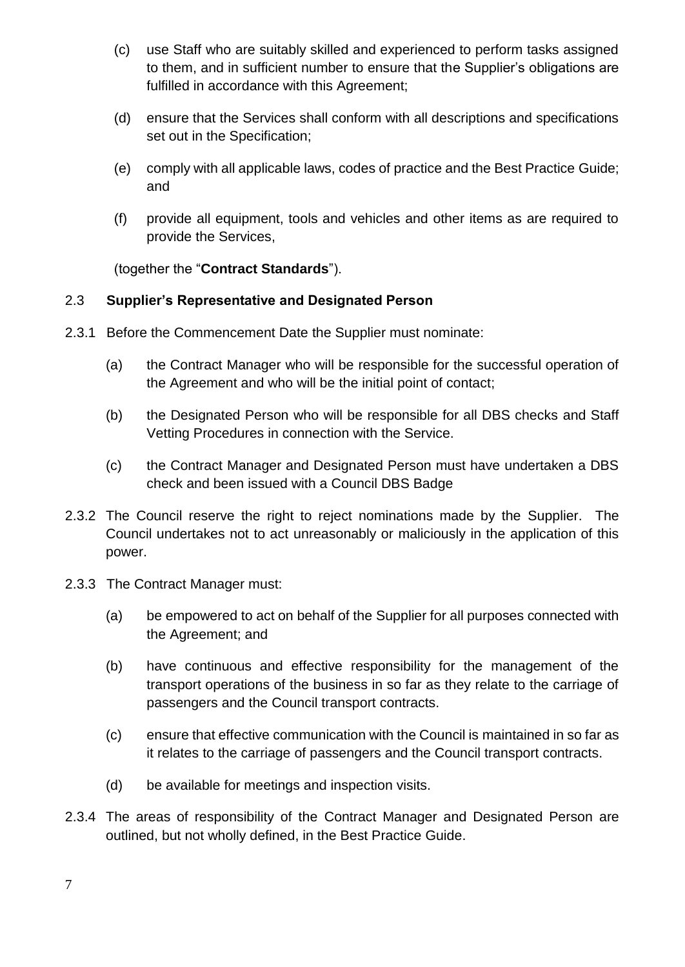- (c) use Staff who are suitably skilled and experienced to perform tasks assigned to them, and in sufficient number to ensure that the Supplier's obligations are fulfilled in accordance with this Agreement;
- (d) ensure that the Services shall conform with all descriptions and specifications set out in the Specification;
- (e) comply with all applicable laws, codes of practice and the Best Practice Guide; and
- (f) provide all equipment, tools and vehicles and other items as are required to provide the Services,

(together the "**Contract Standards**").

## 2.3 **Supplier's Representative and Designated Person**

- 2.3.1 Before the Commencement Date the Supplier must nominate:
	- (a) the Contract Manager who will be responsible for the successful operation of the Agreement and who will be the initial point of contact;
	- (b) the Designated Person who will be responsible for all DBS checks and Staff Vetting Procedures in connection with the Service.
	- (c) the Contract Manager and Designated Person must have undertaken a DBS check and been issued with a Council DBS Badge
- 2.3.2 The Council reserve the right to reject nominations made by the Supplier. The Council undertakes not to act unreasonably or maliciously in the application of this power.
- 2.3.3 The Contract Manager must:
	- (a) be empowered to act on behalf of the Supplier for all purposes connected with the Agreement; and
	- (b) have continuous and effective responsibility for the management of the transport operations of the business in so far as they relate to the carriage of passengers and the Council transport contracts.
	- (c) ensure that effective communication with the Council is maintained in so far as it relates to the carriage of passengers and the Council transport contracts.
	- (d) be available for meetings and inspection visits.
- 2.3.4 The areas of responsibility of the Contract Manager and Designated Person are outlined, but not wholly defined, in the Best Practice Guide.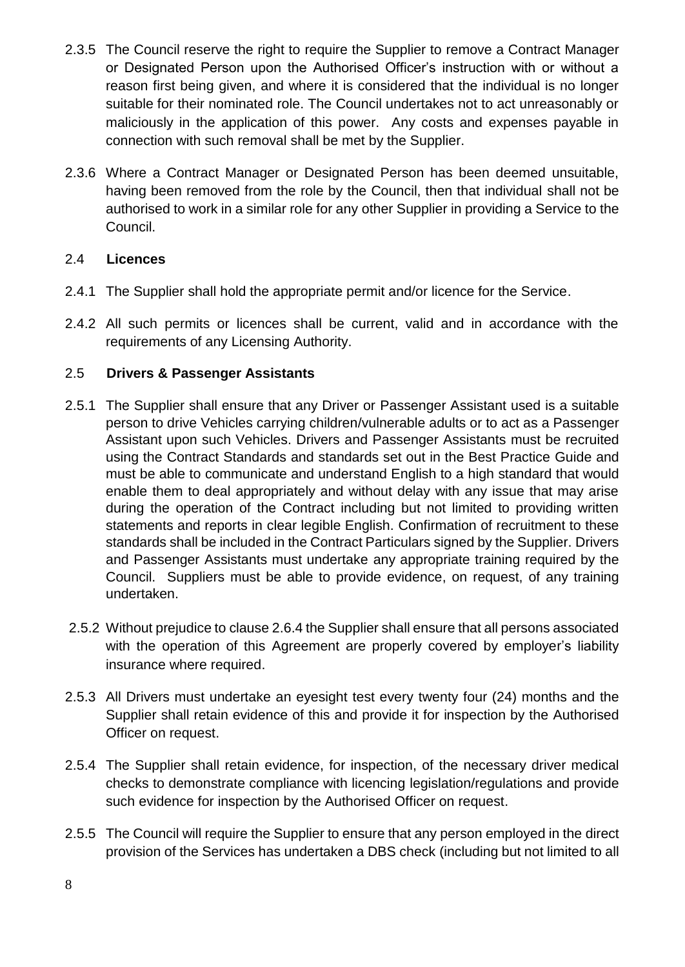- 2.3.5 The Council reserve the right to require the Supplier to remove a Contract Manager or Designated Person upon the Authorised Officer's instruction with or without a reason first being given, and where it is considered that the individual is no longer suitable for their nominated role. The Council undertakes not to act unreasonably or maliciously in the application of this power. Any costs and expenses payable in connection with such removal shall be met by the Supplier.
- 2.3.6 Where a Contract Manager or Designated Person has been deemed unsuitable, having been removed from the role by the Council, then that individual shall not be authorised to work in a similar role for any other Supplier in providing a Service to the Council.

## 2.4 **Licences**

- 2.4.1 The Supplier shall hold the appropriate permit and/or licence for the Service.
- 2.4.2 All such permits or licences shall be current, valid and in accordance with the requirements of any Licensing Authority.

# 2.5 **Drivers & Passenger Assistants**

- 2.5.1 The Supplier shall ensure that any Driver or Passenger Assistant used is a suitable person to drive Vehicles carrying children/vulnerable adults or to act as a Passenger Assistant upon such Vehicles. Drivers and Passenger Assistants must be recruited using the Contract Standards and standards set out in the Best Practice Guide and must be able to communicate and understand English to a high standard that would enable them to deal appropriately and without delay with any issue that may arise during the operation of the Contract including but not limited to providing written statements and reports in clear legible English. Confirmation of recruitment to these standards shall be included in the Contract Particulars signed by the Supplier. Drivers and Passenger Assistants must undertake any appropriate training required by the Council. Suppliers must be able to provide evidence, on request, of any training undertaken.
- 2.5.2 Without prejudice to clause 2.6.4 the Supplier shall ensure that all persons associated with the operation of this Agreement are properly covered by employer's liability insurance where required.
- 2.5.3 All Drivers must undertake an eyesight test every twenty four (24) months and the Supplier shall retain evidence of this and provide it for inspection by the Authorised Officer on request.
- 2.5.4 The Supplier shall retain evidence, for inspection, of the necessary driver medical checks to demonstrate compliance with licencing legislation/regulations and provide such evidence for inspection by the Authorised Officer on request.
- 2.5.5 The Council will require the Supplier to ensure that any person employed in the direct provision of the Services has undertaken a DBS check (including but not limited to all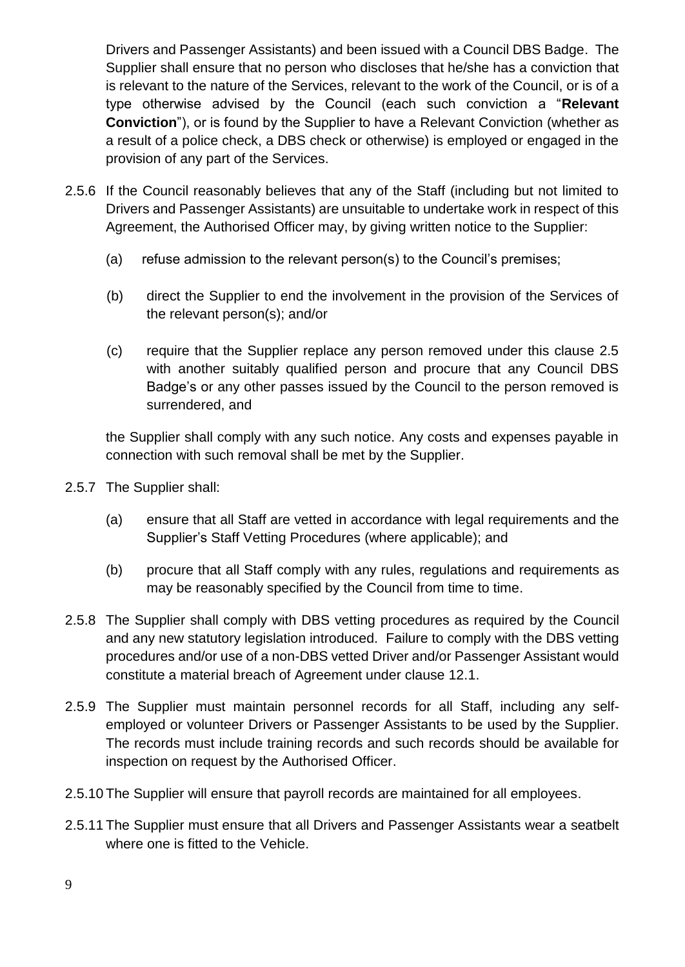Drivers and Passenger Assistants) and been issued with a Council DBS Badge. The Supplier shall ensure that no person who discloses that he/she has a conviction that is relevant to the nature of the Services, relevant to the work of the Council, or is of a type otherwise advised by the Council (each such conviction a "**Relevant Conviction**"), or is found by the Supplier to have a Relevant Conviction (whether as a result of a police check, a DBS check or otherwise) is employed or engaged in the provision of any part of the Services.

- 2.5.6 If the Council reasonably believes that any of the Staff (including but not limited to Drivers and Passenger Assistants) are unsuitable to undertake work in respect of this Agreement, the Authorised Officer may, by giving written notice to the Supplier:
	- (a) refuse admission to the relevant person(s) to the Council's premises;
	- (b) direct the Supplier to end the involvement in the provision of the Services of the relevant person(s); and/or
	- (c) require that the Supplier replace any person removed under this clause 2.5 with another suitably qualified person and procure that any Council DBS Badge's or any other passes issued by the Council to the person removed is surrendered, and

the Supplier shall comply with any such notice. Any costs and expenses payable in connection with such removal shall be met by the Supplier.

- 2.5.7 The Supplier shall:
	- (a) ensure that all Staff are vetted in accordance with legal requirements and the Supplier's Staff Vetting Procedures (where applicable); and
	- (b) procure that all Staff comply with any rules, regulations and requirements as may be reasonably specified by the Council from time to time.
- 2.5.8 The Supplier shall comply with DBS vetting procedures as required by the Council and any new statutory legislation introduced. Failure to comply with the DBS vetting procedures and/or use of a non-DBS vetted Driver and/or Passenger Assistant would constitute a material breach of Agreement under clause 12.1.
- 2.5.9 The Supplier must maintain personnel records for all Staff, including any selfemployed or volunteer Drivers or Passenger Assistants to be used by the Supplier. The records must include training records and such records should be available for inspection on request by the Authorised Officer.
- 2.5.10 The Supplier will ensure that payroll records are maintained for all employees.
- 2.5.11 The Supplier must ensure that all Drivers and Passenger Assistants wear a seatbelt where one is fitted to the Vehicle.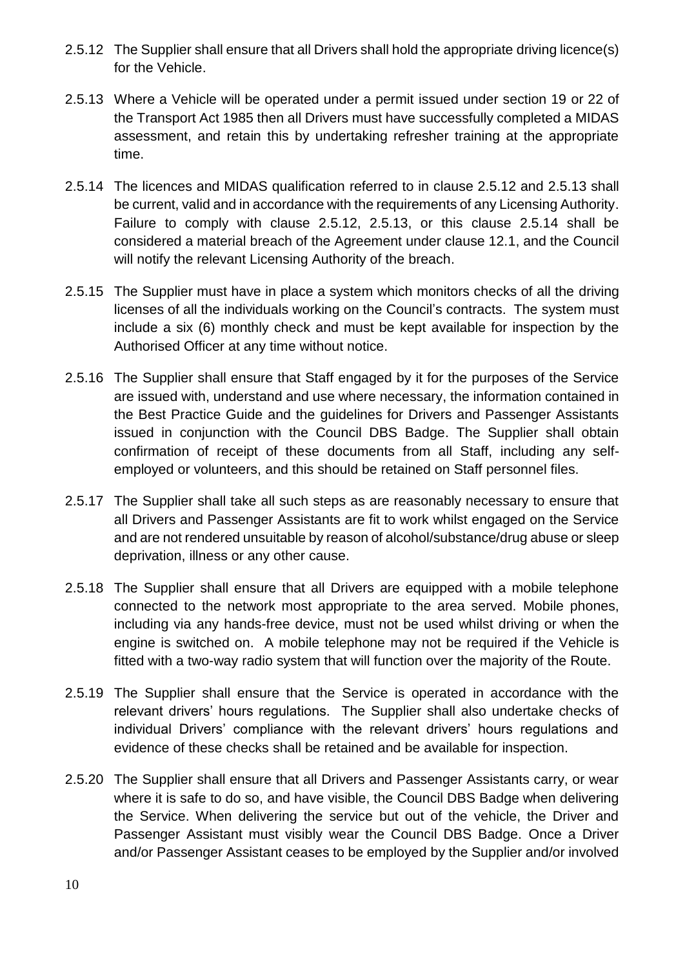- 2.5.12 The Supplier shall ensure that all Drivers shall hold the appropriate driving licence(s) for the Vehicle.
- 2.5.13 Where a Vehicle will be operated under a permit issued under section 19 or 22 of the Transport Act 1985 then all Drivers must have successfully completed a MIDAS assessment, and retain this by undertaking refresher training at the appropriate time.
- 2.5.14 The licences and MIDAS qualification referred to in clause 2.5.12 and 2.5.13 shall be current, valid and in accordance with the requirements of any Licensing Authority. Failure to comply with clause 2.5.12, 2.5.13, or this clause 2.5.14 shall be considered a material breach of the Agreement under clause 12.1, and the Council will notify the relevant Licensing Authority of the breach.
- 2.5.15 The Supplier must have in place a system which monitors checks of all the driving licenses of all the individuals working on the Council's contracts. The system must include a six (6) monthly check and must be kept available for inspection by the Authorised Officer at any time without notice.
- 2.5.16 The Supplier shall ensure that Staff engaged by it for the purposes of the Service are issued with, understand and use where necessary, the information contained in the Best Practice Guide and the guidelines for Drivers and Passenger Assistants issued in conjunction with the Council DBS Badge. The Supplier shall obtain confirmation of receipt of these documents from all Staff, including any selfemployed or volunteers, and this should be retained on Staff personnel files.
- 2.5.17 The Supplier shall take all such steps as are reasonably necessary to ensure that all Drivers and Passenger Assistants are fit to work whilst engaged on the Service and are not rendered unsuitable by reason of alcohol/substance/drug abuse or sleep deprivation, illness or any other cause.
- 2.5.18 The Supplier shall ensure that all Drivers are equipped with a mobile telephone connected to the network most appropriate to the area served. Mobile phones, including via any hands-free device, must not be used whilst driving or when the engine is switched on. A mobile telephone may not be required if the Vehicle is fitted with a two-way radio system that will function over the majority of the Route.
- 2.5.19 The Supplier shall ensure that the Service is operated in accordance with the relevant drivers' hours regulations. The Supplier shall also undertake checks of individual Drivers' compliance with the relevant drivers' hours regulations and evidence of these checks shall be retained and be available for inspection.
- 2.5.20 The Supplier shall ensure that all Drivers and Passenger Assistants carry, or wear where it is safe to do so, and have visible, the Council DBS Badge when delivering the Service. When delivering the service but out of the vehicle, the Driver and Passenger Assistant must visibly wear the Council DBS Badge. Once a Driver and/or Passenger Assistant ceases to be employed by the Supplier and/or involved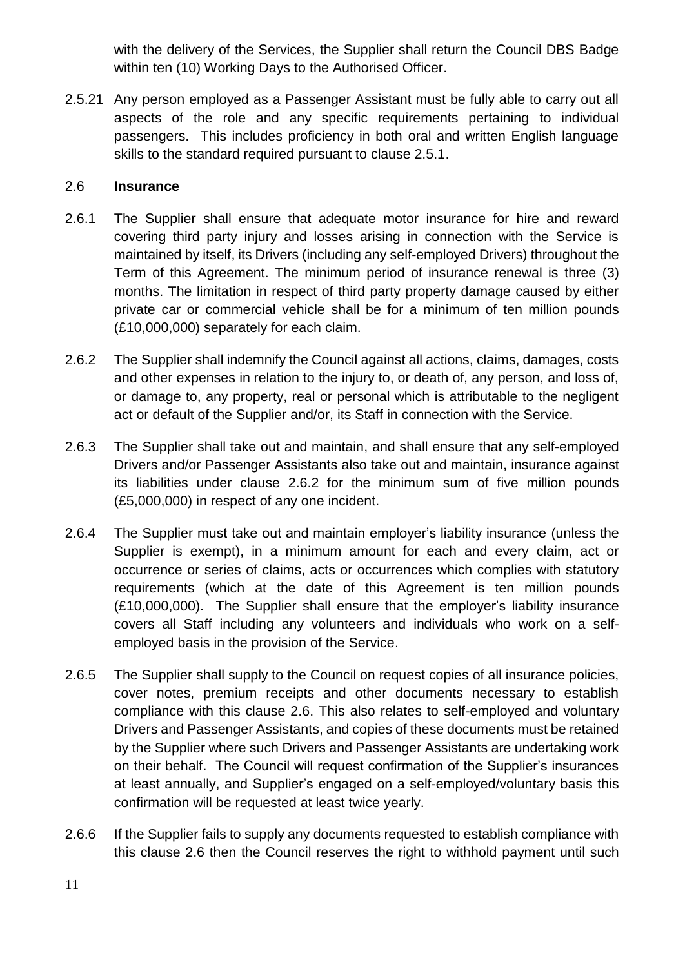with the delivery of the Services, the Supplier shall return the Council DBS Badge within ten (10) Working Days to the Authorised Officer.

2.5.21 Any person employed as a Passenger Assistant must be fully able to carry out all aspects of the role and any specific requirements pertaining to individual passengers. This includes proficiency in both oral and written English language skills to the standard required pursuant to clause 2.5.1.

#### 2.6 **Insurance**

- 2.6.1 The Supplier shall ensure that adequate motor insurance for hire and reward covering third party injury and losses arising in connection with the Service is maintained by itself, its Drivers (including any self-employed Drivers) throughout the Term of this Agreement. The minimum period of insurance renewal is three (3) months. The limitation in respect of third party property damage caused by either private car or commercial vehicle shall be for a minimum of ten million pounds (£10,000,000) separately for each claim.
- 2.6.2 The Supplier shall indemnify the Council against all actions, claims, damages, costs and other expenses in relation to the injury to, or death of, any person, and loss of, or damage to, any property, real or personal which is attributable to the negligent act or default of the Supplier and/or, its Staff in connection with the Service.
- 2.6.3 The Supplier shall take out and maintain, and shall ensure that any self-employed Drivers and/or Passenger Assistants also take out and maintain, insurance against its liabilities under clause 2.6.2 for the minimum sum of five million pounds (£5,000,000) in respect of any one incident.
- 2.6.4 The Supplier must take out and maintain employer's liability insurance (unless the Supplier is exempt), in a minimum amount for each and every claim, act or occurrence or series of claims, acts or occurrences which complies with statutory requirements (which at the date of this Agreement is ten million pounds (£10,000,000). The Supplier shall ensure that the employer's liability insurance covers all Staff including any volunteers and individuals who work on a selfemployed basis in the provision of the Service.
- 2.6.5 The Supplier shall supply to the Council on request copies of all insurance policies, cover notes, premium receipts and other documents necessary to establish compliance with this clause 2.6. This also relates to self-employed and voluntary Drivers and Passenger Assistants, and copies of these documents must be retained by the Supplier where such Drivers and Passenger Assistants are undertaking work on their behalf. The Council will request confirmation of the Supplier's insurances at least annually, and Supplier's engaged on a self-employed/voluntary basis this confirmation will be requested at least twice yearly.
- 2.6.6 If the Supplier fails to supply any documents requested to establish compliance with this clause 2.6 then the Council reserves the right to withhold payment until such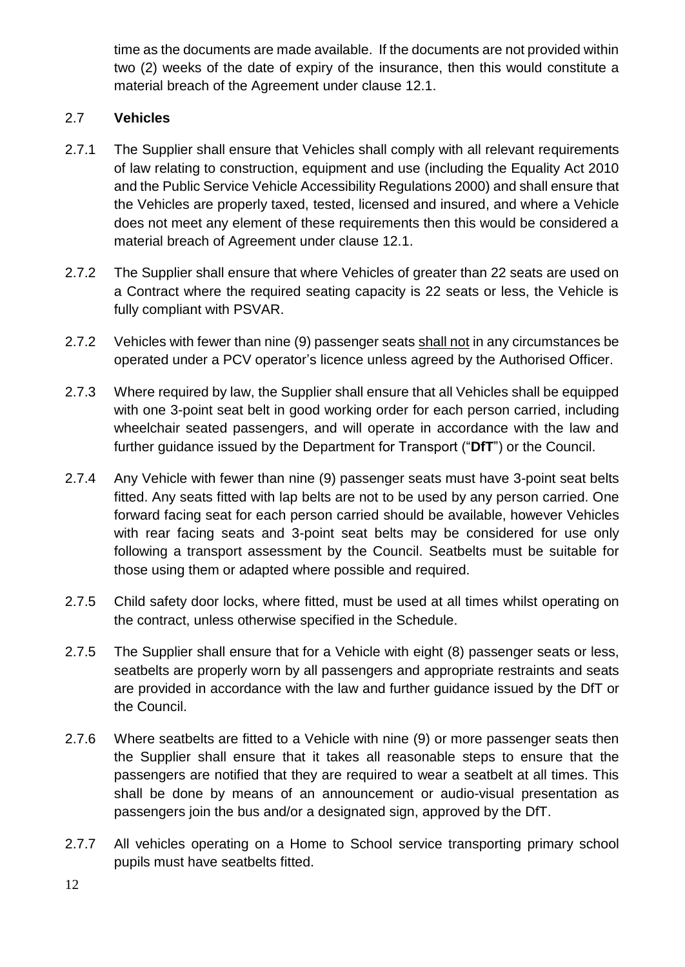time as the documents are made available. If the documents are not provided within two (2) weeks of the date of expiry of the insurance, then this would constitute a material breach of the Agreement under clause 12.1.

# 2.7 **Vehicles**

- 2.7.1 The Supplier shall ensure that Vehicles shall comply with all relevant requirements of law relating to construction, equipment and use (including the Equality Act 2010 and the Public Service Vehicle Accessibility Regulations 2000) and shall ensure that the Vehicles are properly taxed, tested, licensed and insured, and where a Vehicle does not meet any element of these requirements then this would be considered a material breach of Agreement under clause 12.1.
- 2.7.2 The Supplier shall ensure that where Vehicles of greater than 22 seats are used on a Contract where the required seating capacity is 22 seats or less, the Vehicle is fully compliant with PSVAR.
- 2.7.2 Vehicles with fewer than nine (9) passenger seats shall not in any circumstances be operated under a PCV operator's licence unless agreed by the Authorised Officer.
- 2.7.3 Where required by law, the Supplier shall ensure that all Vehicles shall be equipped with one 3-point seat belt in good working order for each person carried, including wheelchair seated passengers, and will operate in accordance with the law and further guidance issued by the Department for Transport ("**DfT**") or the Council.
- 2.7.4 Any Vehicle with fewer than nine (9) passenger seats must have 3-point seat belts fitted. Any seats fitted with lap belts are not to be used by any person carried. One forward facing seat for each person carried should be available, however Vehicles with rear facing seats and 3-point seat belts may be considered for use only following a transport assessment by the Council. Seatbelts must be suitable for those using them or adapted where possible and required.
- 2.7.5 Child safety door locks, where fitted, must be used at all times whilst operating on the contract, unless otherwise specified in the Schedule.
- 2.7.5 The Supplier shall ensure that for a Vehicle with eight (8) passenger seats or less, seatbelts are properly worn by all passengers and appropriate restraints and seats are provided in accordance with the law and further guidance issued by the DfT or the Council.
- 2.7.6 Where seatbelts are fitted to a Vehicle with nine (9) or more passenger seats then the Supplier shall ensure that it takes all reasonable steps to ensure that the passengers are notified that they are required to wear a seatbelt at all times. This shall be done by means of an announcement or audio-visual presentation as passengers join the bus and/or a designated sign, approved by the DfT.
- 2.7.7 All vehicles operating on a Home to School service transporting primary school pupils must have seatbelts fitted.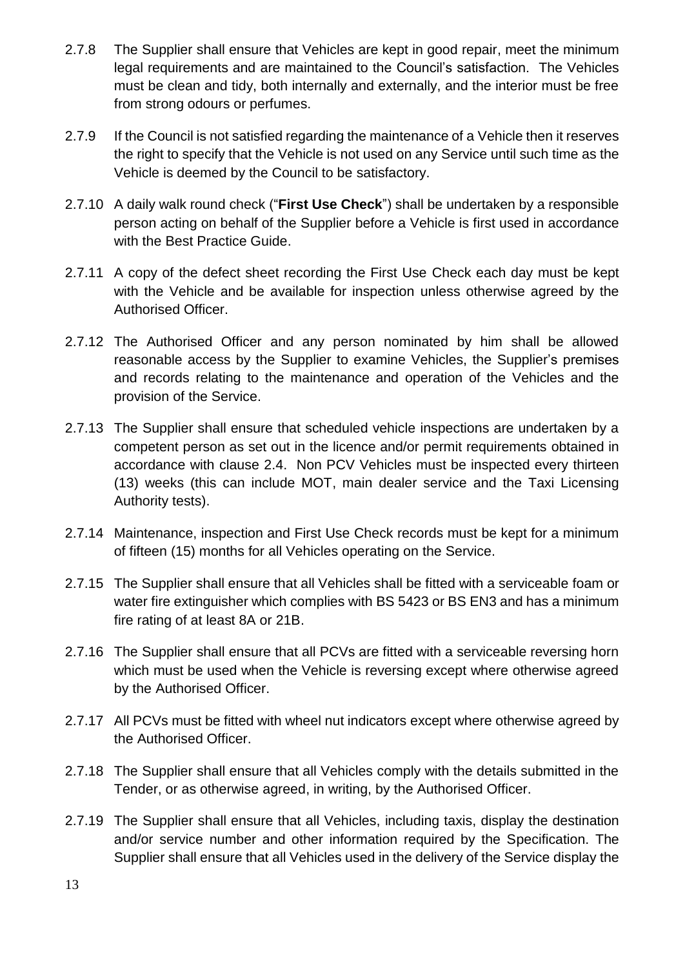- 2.7.8 The Supplier shall ensure that Vehicles are kept in good repair, meet the minimum legal requirements and are maintained to the Council's satisfaction. The Vehicles must be clean and tidy, both internally and externally, and the interior must be free from strong odours or perfumes.
- 2.7.9 If the Council is not satisfied regarding the maintenance of a Vehicle then it reserves the right to specify that the Vehicle is not used on any Service until such time as the Vehicle is deemed by the Council to be satisfactory.
- 2.7.10 A daily walk round check ("**First Use Check**") shall be undertaken by a responsible person acting on behalf of the Supplier before a Vehicle is first used in accordance with the Best Practice Guide.
- 2.7.11 A copy of the defect sheet recording the First Use Check each day must be kept with the Vehicle and be available for inspection unless otherwise agreed by the Authorised Officer.
- 2.7.12 The Authorised Officer and any person nominated by him shall be allowed reasonable access by the Supplier to examine Vehicles, the Supplier's premises and records relating to the maintenance and operation of the Vehicles and the provision of the Service.
- 2.7.13 The Supplier shall ensure that scheduled vehicle inspections are undertaken by a competent person as set out in the licence and/or permit requirements obtained in accordance with clause 2.4. Non PCV Vehicles must be inspected every thirteen (13) weeks (this can include MOT, main dealer service and the Taxi Licensing Authority tests).
- 2.7.14 Maintenance, inspection and First Use Check records must be kept for a minimum of fifteen (15) months for all Vehicles operating on the Service.
- 2.7.15 The Supplier shall ensure that all Vehicles shall be fitted with a serviceable foam or water fire extinguisher which complies with BS 5423 or BS EN3 and has a minimum fire rating of at least 8A or 21B.
- 2.7.16 The Supplier shall ensure that all PCVs are fitted with a serviceable reversing horn which must be used when the Vehicle is reversing except where otherwise agreed by the Authorised Officer.
- 2.7.17 All PCVs must be fitted with wheel nut indicators except where otherwise agreed by the Authorised Officer.
- 2.7.18 The Supplier shall ensure that all Vehicles comply with the details submitted in the Tender, or as otherwise agreed, in writing, by the Authorised Officer.
- 2.7.19 The Supplier shall ensure that all Vehicles, including taxis, display the destination and/or service number and other information required by the Specification. The Supplier shall ensure that all Vehicles used in the delivery of the Service display the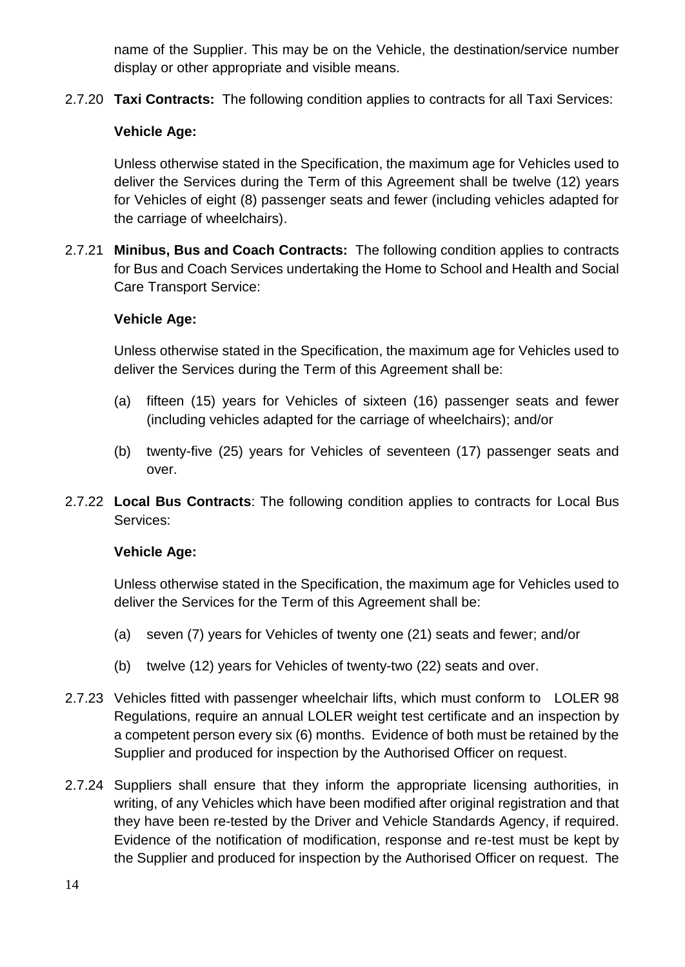name of the Supplier. This may be on the Vehicle, the destination/service number display or other appropriate and visible means.

2.7.20 **Taxi Contracts:** The following condition applies to contracts for all Taxi Services:

# **Vehicle Age:**

Unless otherwise stated in the Specification, the maximum age for Vehicles used to deliver the Services during the Term of this Agreement shall be twelve (12) years for Vehicles of eight (8) passenger seats and fewer (including vehicles adapted for the carriage of wheelchairs).

2.7.21 **Minibus, Bus and Coach Contracts:** The following condition applies to contracts for Bus and Coach Services undertaking the Home to School and Health and Social Care Transport Service:

# **Vehicle Age:**

Unless otherwise stated in the Specification, the maximum age for Vehicles used to deliver the Services during the Term of this Agreement shall be:

- (a) fifteen (15) years for Vehicles of sixteen (16) passenger seats and fewer (including vehicles adapted for the carriage of wheelchairs); and/or
- (b) twenty-five (25) years for Vehicles of seventeen (17) passenger seats and over.
- 2.7.22 **Local Bus Contracts**: The following condition applies to contracts for Local Bus Services:

## **Vehicle Age:**

Unless otherwise stated in the Specification, the maximum age for Vehicles used to deliver the Services for the Term of this Agreement shall be:

- (a) seven (7) years for Vehicles of twenty one (21) seats and fewer; and/or
- (b) twelve (12) years for Vehicles of twenty-two (22) seats and over.
- 2.7.23 Vehicles fitted with passenger wheelchair lifts, which must conform to LOLER 98 Regulations, require an annual LOLER weight test certificate and an inspection by a competent person every six (6) months. Evidence of both must be retained by the Supplier and produced for inspection by the Authorised Officer on request.
- 2.7.24 Suppliers shall ensure that they inform the appropriate licensing authorities, in writing, of any Vehicles which have been modified after original registration and that they have been re-tested by the Driver and Vehicle Standards Agency, if required. Evidence of the notification of modification, response and re-test must be kept by the Supplier and produced for inspection by the Authorised Officer on request. The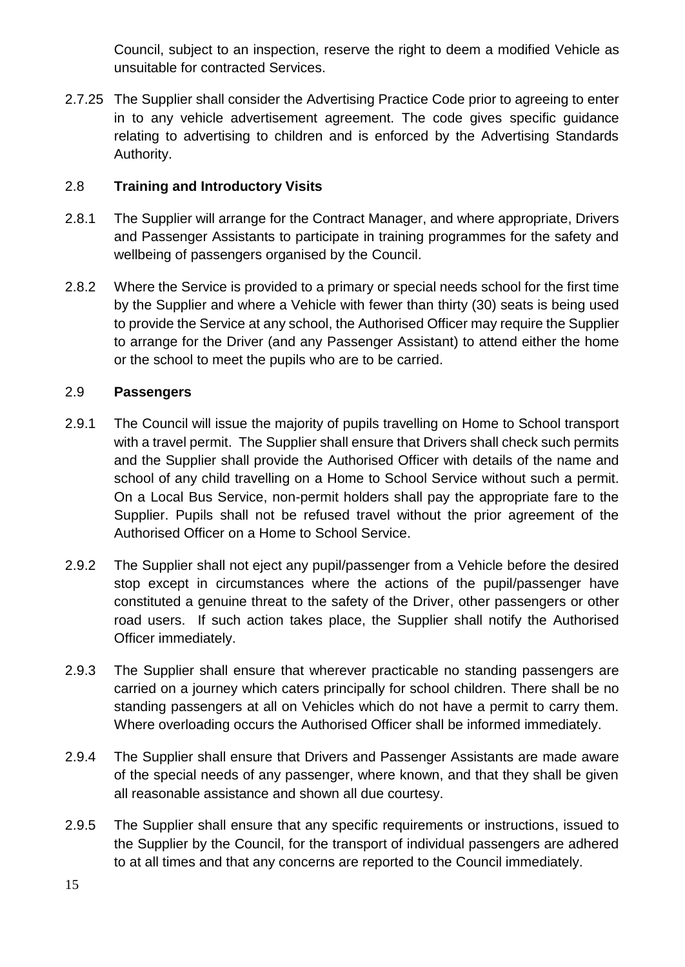Council, subject to an inspection, reserve the right to deem a modified Vehicle as unsuitable for contracted Services.

2.7.25 The Supplier shall consider the Advertising Practice Code prior to agreeing to enter in to any vehicle advertisement agreement. The code gives specific guidance relating to advertising to children and is enforced by the Advertising Standards Authority.

# 2.8 **Training and Introductory Visits**

- 2.8.1 The Supplier will arrange for the Contract Manager, and where appropriate, Drivers and Passenger Assistants to participate in training programmes for the safety and wellbeing of passengers organised by the Council.
- 2.8.2 Where the Service is provided to a primary or special needs school for the first time by the Supplier and where a Vehicle with fewer than thirty (30) seats is being used to provide the Service at any school, the Authorised Officer may require the Supplier to arrange for the Driver (and any Passenger Assistant) to attend either the home or the school to meet the pupils who are to be carried.

## 2.9 **Passengers**

- 2.9.1 The Council will issue the majority of pupils travelling on Home to School transport with a travel permit. The Supplier shall ensure that Drivers shall check such permits and the Supplier shall provide the Authorised Officer with details of the name and school of any child travelling on a Home to School Service without such a permit. On a Local Bus Service, non-permit holders shall pay the appropriate fare to the Supplier. Pupils shall not be refused travel without the prior agreement of the Authorised Officer on a Home to School Service.
- 2.9.2 The Supplier shall not eject any pupil/passenger from a Vehicle before the desired stop except in circumstances where the actions of the pupil/passenger have constituted a genuine threat to the safety of the Driver, other passengers or other road users. If such action takes place, the Supplier shall notify the Authorised Officer immediately.
- 2.9.3 The Supplier shall ensure that wherever practicable no standing passengers are carried on a journey which caters principally for school children. There shall be no standing passengers at all on Vehicles which do not have a permit to carry them. Where overloading occurs the Authorised Officer shall be informed immediately.
- 2.9.4 The Supplier shall ensure that Drivers and Passenger Assistants are made aware of the special needs of any passenger, where known, and that they shall be given all reasonable assistance and shown all due courtesy.
- 2.9.5 The Supplier shall ensure that any specific requirements or instructions, issued to the Supplier by the Council, for the transport of individual passengers are adhered to at all times and that any concerns are reported to the Council immediately.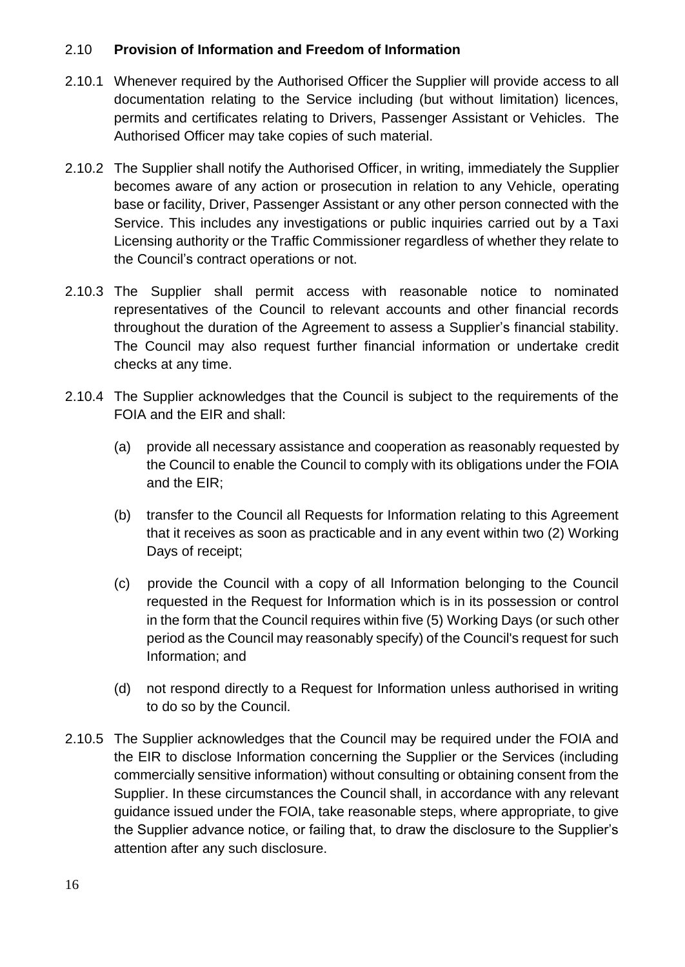#### 2.10 **Provision of Information and Freedom of Information**

- 2.10.1 Whenever required by the Authorised Officer the Supplier will provide access to all documentation relating to the Service including (but without limitation) licences, permits and certificates relating to Drivers, Passenger Assistant or Vehicles. The Authorised Officer may take copies of such material.
- 2.10.2 The Supplier shall notify the Authorised Officer, in writing, immediately the Supplier becomes aware of any action or prosecution in relation to any Vehicle, operating base or facility, Driver, Passenger Assistant or any other person connected with the Service. This includes any investigations or public inquiries carried out by a Taxi Licensing authority or the Traffic Commissioner regardless of whether they relate to the Council's contract operations or not.
- 2.10.3 The Supplier shall permit access with reasonable notice to nominated representatives of the Council to relevant accounts and other financial records throughout the duration of the Agreement to assess a Supplier's financial stability. The Council may also request further financial information or undertake credit checks at any time.
- 2.10.4 The Supplier acknowledges that the Council is subject to the requirements of the FOIA and the EIR and shall:
	- (a) provide all necessary assistance and cooperation as reasonably requested by the Council to enable the Council to comply with its obligations under the FOIA and the EIR;
	- (b) transfer to the Council all Requests for Information relating to this Agreement that it receives as soon as practicable and in any event within two (2) Working Days of receipt;
	- (c) provide the Council with a copy of all Information belonging to the Council requested in the Request for Information which is in its possession or control in the form that the Council requires within five (5) Working Days (or such other period as the Council may reasonably specify) of the Council's request for such Information; and
	- (d) not respond directly to a Request for Information unless authorised in writing to do so by the Council.
- 2.10.5 The Supplier acknowledges that the Council may be required under the FOIA and the EIR to disclose Information concerning the Supplier or the Services (including commercially sensitive information) without consulting or obtaining consent from the Supplier. In these circumstances the Council shall, in accordance with any relevant guidance issued under the FOIA, take reasonable steps, where appropriate, to give the Supplier advance notice, or failing that, to draw the disclosure to the Supplier's attention after any such disclosure.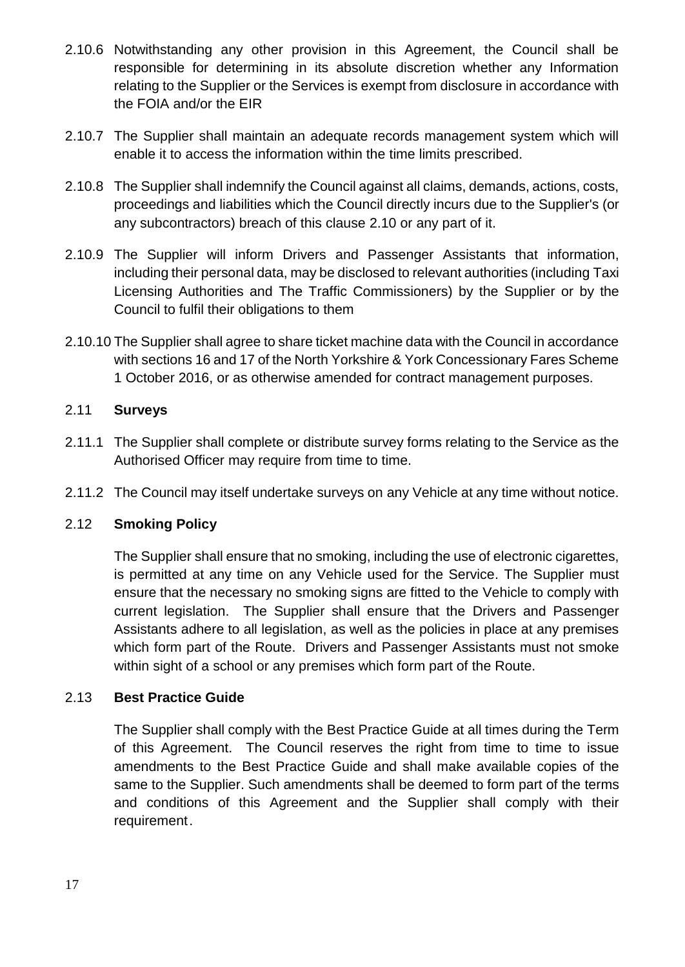- 2.10.6 Notwithstanding any other provision in this Agreement, the Council shall be responsible for determining in its absolute discretion whether any Information relating to the Supplier or the Services is exempt from disclosure in accordance with the FOIA and/or the EIR
- 2.10.7 The Supplier shall maintain an adequate records management system which will enable it to access the information within the time limits prescribed.
- 2.10.8 The Supplier shall indemnify the Council against all claims, demands, actions, costs, proceedings and liabilities which the Council directly incurs due to the Supplier's (or any subcontractors) breach of this clause 2.10 or any part of it.
- 2.10.9 The Supplier will inform Drivers and Passenger Assistants that information, including their personal data, may be disclosed to relevant authorities (including Taxi Licensing Authorities and The Traffic Commissioners) by the Supplier or by the Council to fulfil their obligations to them
- 2.10.10 The Supplier shall agree to share ticket machine data with the Council in accordance with sections 16 and 17 of the North Yorkshire & York Concessionary Fares Scheme 1 October 2016, or as otherwise amended for contract management purposes.

# 2.11 **Surveys**

- 2.11.1 The Supplier shall complete or distribute survey forms relating to the Service as the Authorised Officer may require from time to time.
- 2.11.2 The Council may itself undertake surveys on any Vehicle at any time without notice.

## 2.12 **Smoking Policy**

The Supplier shall ensure that no smoking, including the use of electronic cigarettes, is permitted at any time on any Vehicle used for the Service. The Supplier must ensure that the necessary no smoking signs are fitted to the Vehicle to comply with current legislation. The Supplier shall ensure that the Drivers and Passenger Assistants adhere to all legislation, as well as the policies in place at any premises which form part of the Route. Drivers and Passenger Assistants must not smoke within sight of a school or any premises which form part of the Route.

## 2.13 **Best Practice Guide**

The Supplier shall comply with the Best Practice Guide at all times during the Term of this Agreement. The Council reserves the right from time to time to issue amendments to the Best Practice Guide and shall make available copies of the same to the Supplier. Such amendments shall be deemed to form part of the terms and conditions of this Agreement and the Supplier shall comply with their requirement.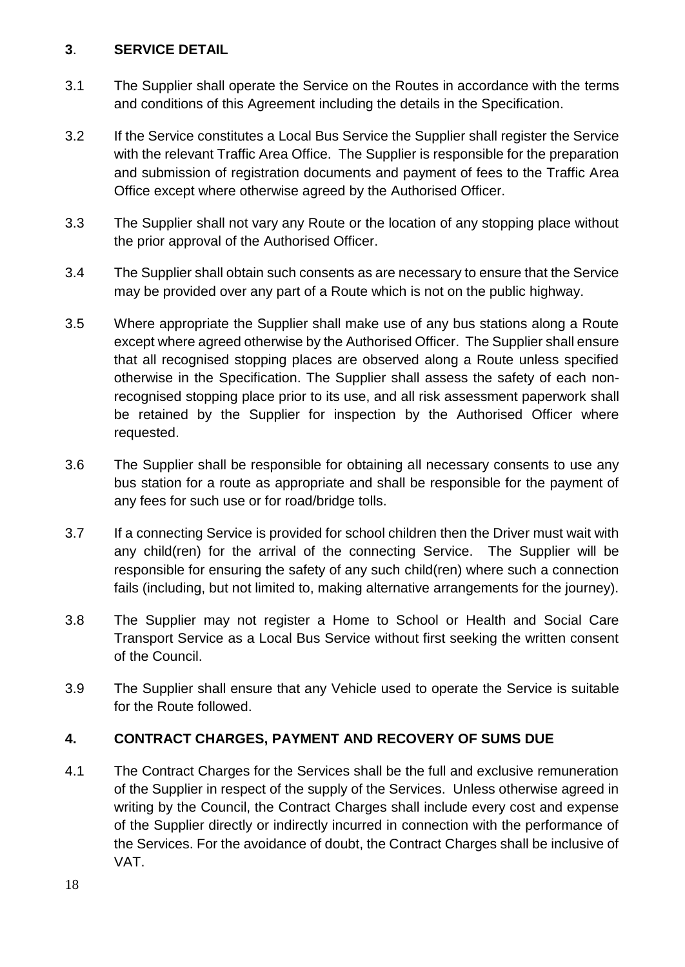## **3**. **SERVICE DETAIL**

- 3.1 The Supplier shall operate the Service on the Routes in accordance with the terms and conditions of this Agreement including the details in the Specification.
- 3.2 If the Service constitutes a Local Bus Service the Supplier shall register the Service with the relevant Traffic Area Office. The Supplier is responsible for the preparation and submission of registration documents and payment of fees to the Traffic Area Office except where otherwise agreed by the Authorised Officer.
- 3.3 The Supplier shall not vary any Route or the location of any stopping place without the prior approval of the Authorised Officer.
- 3.4 The Supplier shall obtain such consents as are necessary to ensure that the Service may be provided over any part of a Route which is not on the public highway.
- 3.5 Where appropriate the Supplier shall make use of any bus stations along a Route except where agreed otherwise by the Authorised Officer. The Supplier shall ensure that all recognised stopping places are observed along a Route unless specified otherwise in the Specification. The Supplier shall assess the safety of each nonrecognised stopping place prior to its use, and all risk assessment paperwork shall be retained by the Supplier for inspection by the Authorised Officer where requested.
- 3.6 The Supplier shall be responsible for obtaining all necessary consents to use any bus station for a route as appropriate and shall be responsible for the payment of any fees for such use or for road/bridge tolls.
- 3.7 If a connecting Service is provided for school children then the Driver must wait with any child(ren) for the arrival of the connecting Service. The Supplier will be responsible for ensuring the safety of any such child(ren) where such a connection fails (including, but not limited to, making alternative arrangements for the journey).
- 3.8 The Supplier may not register a Home to School or Health and Social Care Transport Service as a Local Bus Service without first seeking the written consent of the Council.
- 3.9 The Supplier shall ensure that any Vehicle used to operate the Service is suitable for the Route followed.

# **4. CONTRACT CHARGES, PAYMENT AND RECOVERY OF SUMS DUE**

4.1 The Contract Charges for the Services shall be the full and exclusive remuneration of the Supplier in respect of the supply of the Services. Unless otherwise agreed in writing by the Council, the Contract Charges shall include every cost and expense of the Supplier directly or indirectly incurred in connection with the performance of the Services. For the avoidance of doubt, the Contract Charges shall be inclusive of VAT.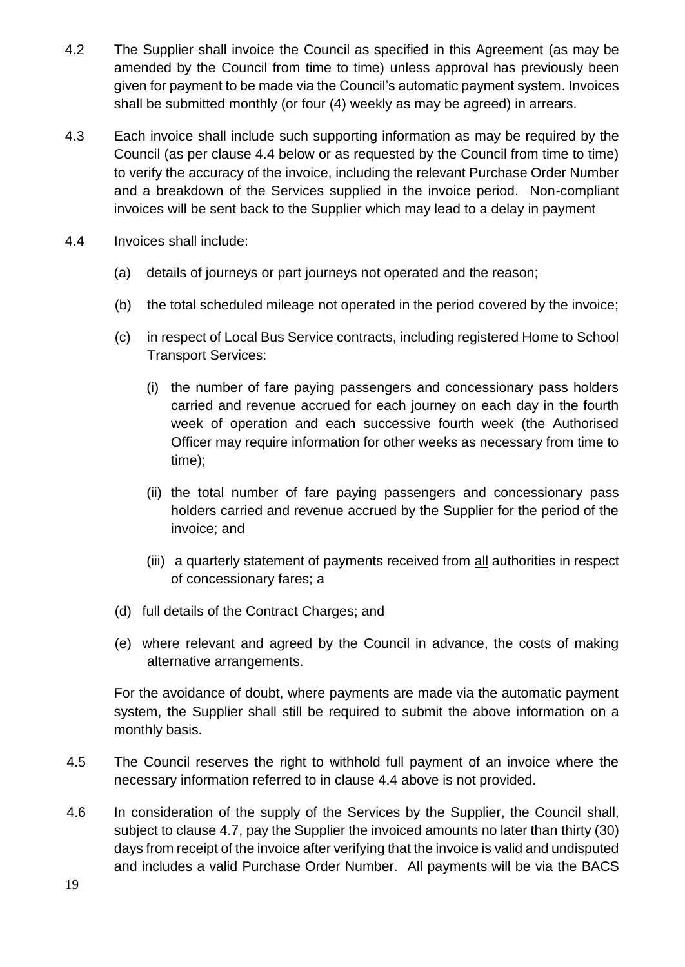- 4.2 The Supplier shall invoice the Council as specified in this Agreement (as may be amended by the Council from time to time) unless approval has previously been given for payment to be made via the Council's automatic payment system. Invoices shall be submitted monthly (or four (4) weekly as may be agreed) in arrears.
- 4.3 Each invoice shall include such supporting information as may be required by the Council (as per clause 4.4 below or as requested by the Council from time to time) to verify the accuracy of the invoice, including the relevant Purchase Order Number and a breakdown of the Services supplied in the invoice period. Non-compliant invoices will be sent back to the Supplier which may lead to a delay in payment
- 4.4 Invoices shall include:
	- (a) details of journeys or part journeys not operated and the reason;
	- (b) the total scheduled mileage not operated in the period covered by the invoice;
	- (c) in respect of Local Bus Service contracts, including registered Home to School Transport Services:
		- (i) the number of fare paying passengers and concessionary pass holders carried and revenue accrued for each journey on each day in the fourth week of operation and each successive fourth week (the Authorised Officer may require information for other weeks as necessary from time to time);
		- (ii) the total number of fare paying passengers and concessionary pass holders carried and revenue accrued by the Supplier for the period of the invoice; and
		- (iii) a quarterly statement of payments received from all authorities in respect of concessionary fares; a
	- (d) full details of the Contract Charges; and
	- (e) where relevant and agreed by the Council in advance, the costs of making alternative arrangements.

For the avoidance of doubt, where payments are made via the automatic payment system, the Supplier shall still be required to submit the above information on a monthly basis.

- 4.5 The Council reserves the right to withhold full payment of an invoice where the necessary information referred to in clause 4.4 above is not provided.
- 4.6 In consideration of the supply of the Services by the Supplier, the Council shall, subject to clause 4.7, pay the Supplier the invoiced amounts no later than thirty (30) days from receipt of the invoice after verifying that the invoice is valid and undisputed and includes a valid Purchase Order Number. All payments will be via the BACS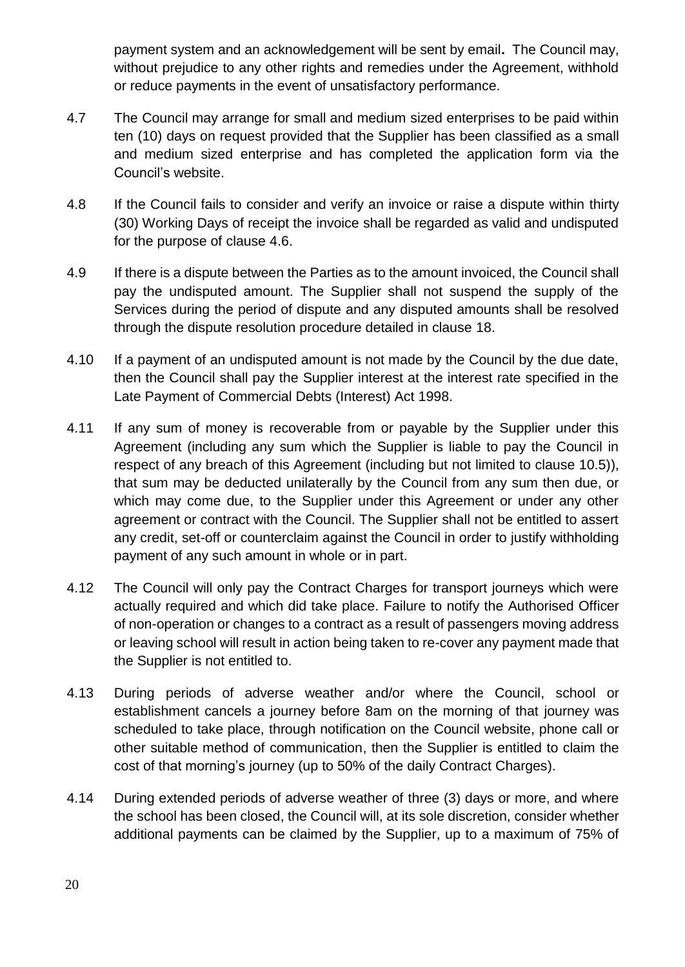payment system and an acknowledgement will be sent by email**.** The Council may, without prejudice to any other rights and remedies under the Agreement, withhold or reduce payments in the event of unsatisfactory performance.

- 4.7 The Council may arrange for small and medium sized enterprises to be paid within ten (10) days on request provided that the Supplier has been classified as a small and medium sized enterprise and has completed the application form via the Council's website.
- 4.8 If the Council fails to consider and verify an invoice or raise a dispute within thirty (30) Working Days of receipt the invoice shall be regarded as valid and undisputed for the purpose of clause 4.6.
- 4.9 If there is a dispute between the Parties as to the amount invoiced, the Council shall pay the undisputed amount. The Supplier shall not suspend the supply of the Services during the period of dispute and any disputed amounts shall be resolved through the dispute resolution procedure detailed in clause 18.
- 4.10 If a payment of an undisputed amount is not made by the Council by the due date, then the Council shall pay the Supplier interest at the interest rate specified in the Late Payment of Commercial Debts (Interest) Act 1998.
- 4.11 If any sum of money is recoverable from or payable by the Supplier under this Agreement (including any sum which the Supplier is liable to pay the Council in respect of any breach of this Agreement (including but not limited to clause 10.5)), that sum may be deducted unilaterally by the Council from any sum then due, or which may come due, to the Supplier under this Agreement or under any other agreement or contract with the Council. The Supplier shall not be entitled to assert any credit, set-off or counterclaim against the Council in order to justify withholding payment of any such amount in whole or in part.
- 4.12 The Council will only pay the Contract Charges for transport journeys which were actually required and which did take place. Failure to notify the Authorised Officer of non-operation or changes to a contract as a result of passengers moving address or leaving school will result in action being taken to re-cover any payment made that the Supplier is not entitled to.
- 4.13 During periods of adverse weather and/or where the Council, school or establishment cancels a journey before 8am on the morning of that journey was scheduled to take place, through notification on the Council website, phone call or other suitable method of communication, then the Supplier is entitled to claim the cost of that morning's journey (up to 50% of the daily Contract Charges).
- 4.14 During extended periods of adverse weather of three (3) days or more, and where the school has been closed, the Council will, at its sole discretion, consider whether additional payments can be claimed by the Supplier, up to a maximum of 75% of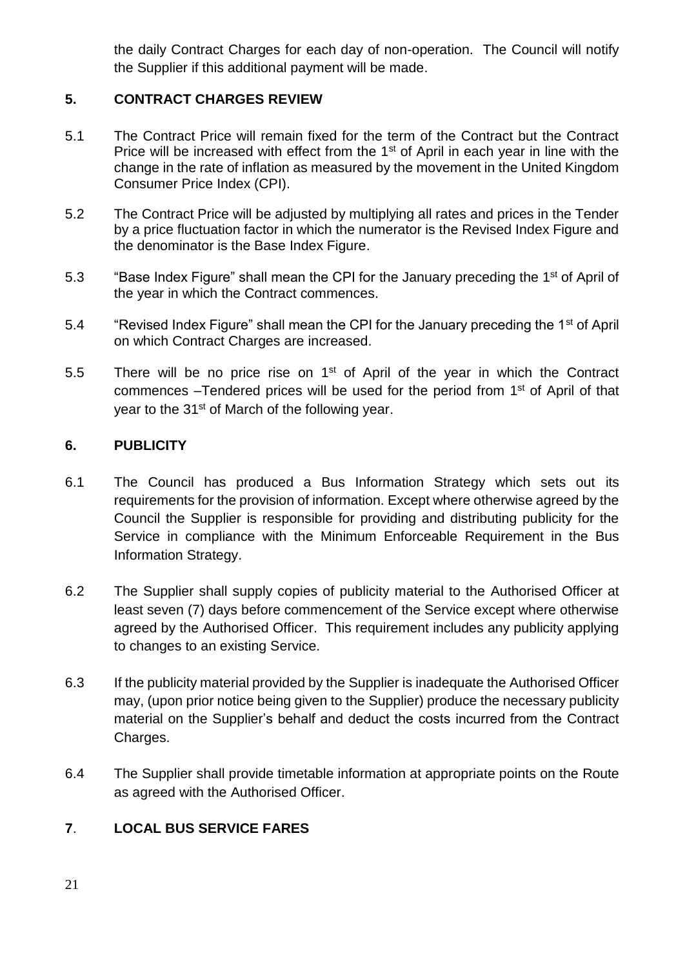the daily Contract Charges for each day of non-operation. The Council will notify the Supplier if this additional payment will be made.

# **5. CONTRACT CHARGES REVIEW**

- 5.1 The Contract Price will remain fixed for the term of the Contract but the Contract Price will be increased with effect from the  $1<sup>st</sup>$  of April in each year in line with the change in the rate of inflation as measured by the movement in the United Kingdom Consumer Price Index (CPI).
- 5.2 The Contract Price will be adjusted by multiplying all rates and prices in the Tender by a price fluctuation factor in which the numerator is the Revised Index Figure and the denominator is the Base Index Figure.
- 5.3 "Base Index Figure" shall mean the CPI for the January preceding the 1<sup>st</sup> of April of the year in which the Contract commences.
- 5.4 "Revised Index Figure" shall mean the CPI for the January preceding the 1<sup>st</sup> of April on which Contract Charges are increased.
- 5.5 There will be no price rise on  $1<sup>st</sup>$  of April of the year in which the Contract commences - Tendered prices will be used for the period from 1<sup>st</sup> of April of that year to the 31<sup>st</sup> of March of the following year.

## **6. PUBLICITY**

- 6.1 The Council has produced a Bus Information Strategy which sets out its requirements for the provision of information. Except where otherwise agreed by the Council the Supplier is responsible for providing and distributing publicity for the Service in compliance with the Minimum Enforceable Requirement in the Bus Information Strategy.
- 6.2 The Supplier shall supply copies of publicity material to the Authorised Officer at least seven (7) days before commencement of the Service except where otherwise agreed by the Authorised Officer. This requirement includes any publicity applying to changes to an existing Service.
- 6.3 If the publicity material provided by the Supplier is inadequate the Authorised Officer may, (upon prior notice being given to the Supplier) produce the necessary publicity material on the Supplier's behalf and deduct the costs incurred from the Contract Charges.
- 6.4 The Supplier shall provide timetable information at appropriate points on the Route as agreed with the Authorised Officer.

## **7**. **LOCAL BUS SERVICE FARES**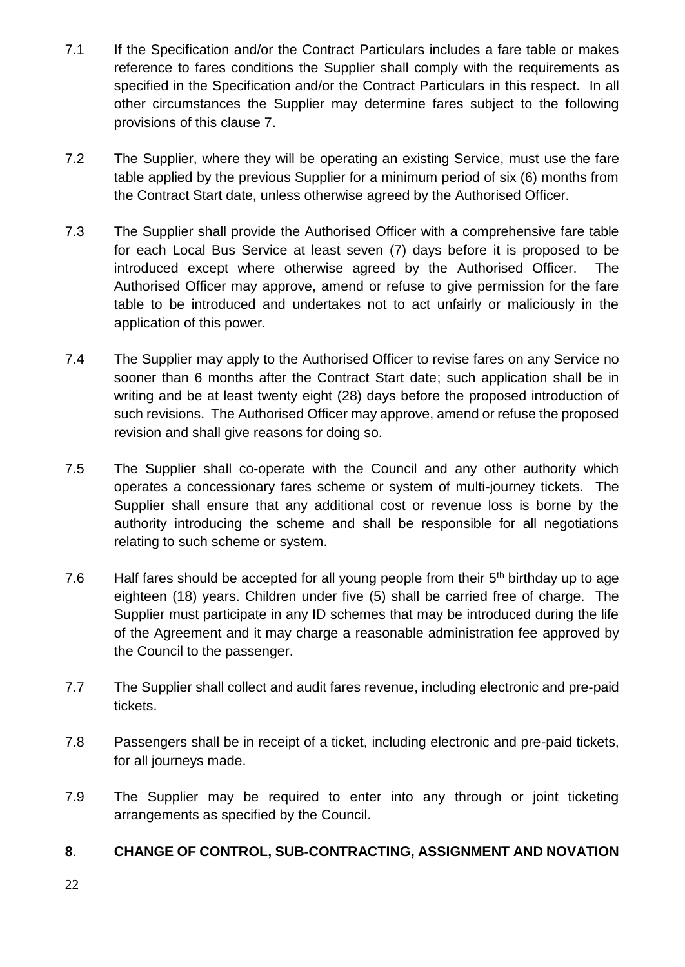- 7.1 If the Specification and/or the Contract Particulars includes a fare table or makes reference to fares conditions the Supplier shall comply with the requirements as specified in the Specification and/or the Contract Particulars in this respect. In all other circumstances the Supplier may determine fares subject to the following provisions of this clause 7.
- 7.2 The Supplier, where they will be operating an existing Service, must use the fare table applied by the previous Supplier for a minimum period of six (6) months from the Contract Start date, unless otherwise agreed by the Authorised Officer.
- 7.3 The Supplier shall provide the Authorised Officer with a comprehensive fare table for each Local Bus Service at least seven (7) days before it is proposed to be introduced except where otherwise agreed by the Authorised Officer. The Authorised Officer may approve, amend or refuse to give permission for the fare table to be introduced and undertakes not to act unfairly or maliciously in the application of this power.
- 7.4 The Supplier may apply to the Authorised Officer to revise fares on any Service no sooner than 6 months after the Contract Start date; such application shall be in writing and be at least twenty eight (28) days before the proposed introduction of such revisions. The Authorised Officer may approve, amend or refuse the proposed revision and shall give reasons for doing so.
- 7.5 The Supplier shall co-operate with the Council and any other authority which operates a concessionary fares scheme or system of multi-journey tickets. The Supplier shall ensure that any additional cost or revenue loss is borne by the authority introducing the scheme and shall be responsible for all negotiations relating to such scheme or system.
- 7.6 Half fares should be accepted for all young people from their  $5<sup>th</sup>$  birthday up to age eighteen (18) years. Children under five (5) shall be carried free of charge. The Supplier must participate in any ID schemes that may be introduced during the life of the Agreement and it may charge a reasonable administration fee approved by the Council to the passenger.
- 7.7 The Supplier shall collect and audit fares revenue, including electronic and pre-paid tickets.
- 7.8 Passengers shall be in receipt of a ticket, including electronic and pre-paid tickets, for all journeys made.
- 7.9 The Supplier may be required to enter into any through or joint ticketing arrangements as specified by the Council.

# **8**. **CHANGE OF CONTROL, SUB-CONTRACTING, ASSIGNMENT AND NOVATION**

22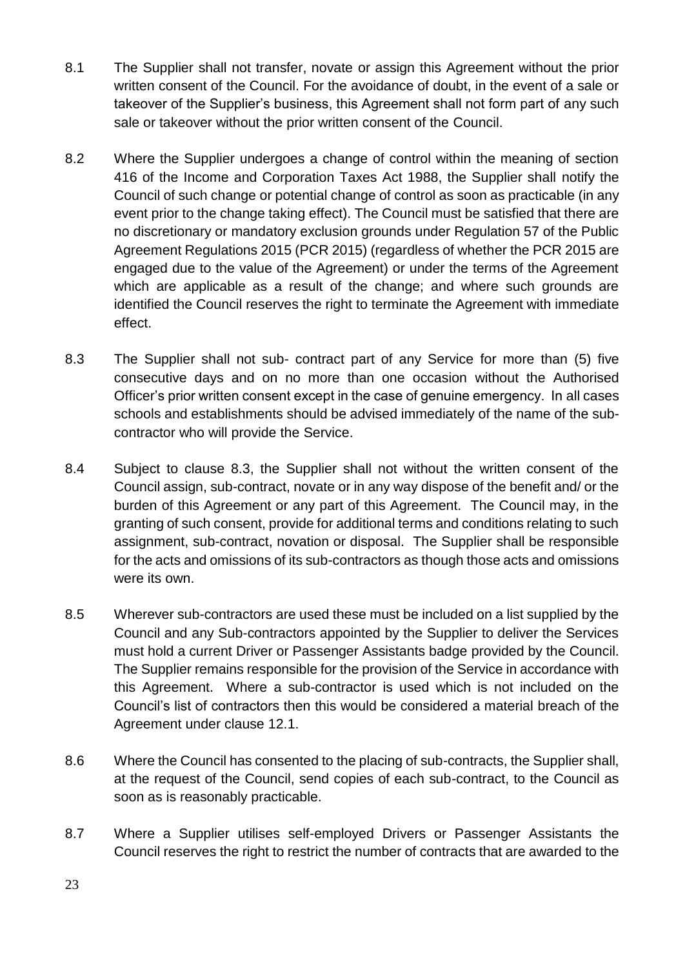- 8.1 The Supplier shall not transfer, novate or assign this Agreement without the prior written consent of the Council. For the avoidance of doubt, in the event of a sale or takeover of the Supplier's business, this Agreement shall not form part of any such sale or takeover without the prior written consent of the Council.
- 8.2 Where the Supplier undergoes a change of control within the meaning of section 416 of the Income and Corporation Taxes Act 1988, the Supplier shall notify the Council of such change or potential change of control as soon as practicable (in any event prior to the change taking effect). The Council must be satisfied that there are no discretionary or mandatory exclusion grounds under Regulation 57 of the Public Agreement Regulations 2015 (PCR 2015) (regardless of whether the PCR 2015 are engaged due to the value of the Agreement) or under the terms of the Agreement which are applicable as a result of the change; and where such grounds are identified the Council reserves the right to terminate the Agreement with immediate effect.
- 8.3 The Supplier shall not sub- contract part of any Service for more than (5) five consecutive days and on no more than one occasion without the Authorised Officer's prior written consent except in the case of genuine emergency. In all cases schools and establishments should be advised immediately of the name of the subcontractor who will provide the Service.
- 8.4 Subject to clause 8.3, the Supplier shall not without the written consent of the Council assign, sub-contract, novate or in any way dispose of the benefit and/ or the burden of this Agreement or any part of this Agreement. The Council may, in the granting of such consent, provide for additional terms and conditions relating to such assignment, sub-contract, novation or disposal. The Supplier shall be responsible for the acts and omissions of its sub-contractors as though those acts and omissions were its own.
- 8.5 Wherever sub-contractors are used these must be included on a list supplied by the Council and any Sub-contractors appointed by the Supplier to deliver the Services must hold a current Driver or Passenger Assistants badge provided by the Council. The Supplier remains responsible for the provision of the Service in accordance with this Agreement. Where a sub-contractor is used which is not included on the Council's list of contractors then this would be considered a material breach of the Agreement under clause 12.1.
- 8.6 Where the Council has consented to the placing of sub-contracts, the Supplier shall, at the request of the Council, send copies of each sub-contract, to the Council as soon as is reasonably practicable.
- 8.7 Where a Supplier utilises self-employed Drivers or Passenger Assistants the Council reserves the right to restrict the number of contracts that are awarded to the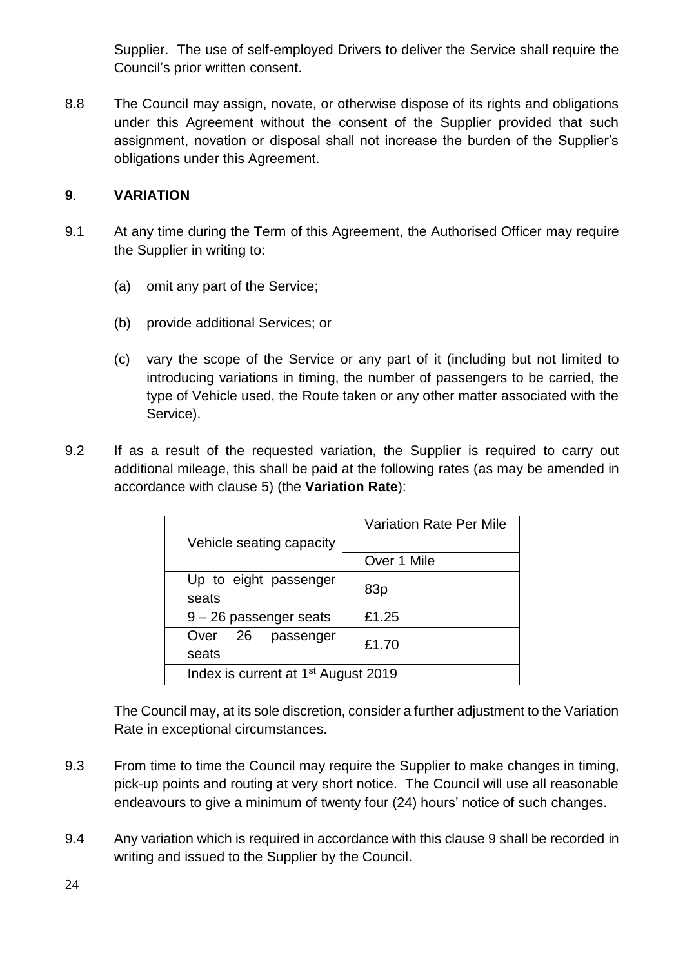Supplier. The use of self-employed Drivers to deliver the Service shall require the Council's prior written consent.

8.8 The Council may assign, novate, or otherwise dispose of its rights and obligations under this Agreement without the consent of the Supplier provided that such assignment, novation or disposal shall not increase the burden of the Supplier's obligations under this Agreement.

# **9**. **VARIATION**

- 9.1 At any time during the Term of this Agreement, the Authorised Officer may require the Supplier in writing to:
	- (a) omit any part of the Service;
	- (b) provide additional Services; or
	- (c) vary the scope of the Service or any part of it (including but not limited to introducing variations in timing, the number of passengers to be carried, the type of Vehicle used, the Route taken or any other matter associated with the Service).
- 9.2 If as a result of the requested variation, the Supplier is required to carry out additional mileage, this shall be paid at the following rates (as may be amended in accordance with clause 5) (the **Variation Rate**):

|                                                 | <b>Variation Rate Per Mile</b> |  |
|-------------------------------------------------|--------------------------------|--|
| Vehicle seating capacity                        |                                |  |
|                                                 | Over 1 Mile                    |  |
| Up to eight passenger                           |                                |  |
| seats                                           | 83p                            |  |
| $9 - 26$ passenger seats                        | £1.25                          |  |
| Over 26<br>passenger                            | £1.70                          |  |
| seats                                           |                                |  |
| Index is current at 1 <sup>st</sup> August 2019 |                                |  |

The Council may, at its sole discretion, consider a further adjustment to the Variation Rate in exceptional circumstances.

- 9.3 From time to time the Council may require the Supplier to make changes in timing, pick-up points and routing at very short notice. The Council will use all reasonable endeavours to give a minimum of twenty four (24) hours' notice of such changes.
- 9.4 Any variation which is required in accordance with this clause 9 shall be recorded in writing and issued to the Supplier by the Council.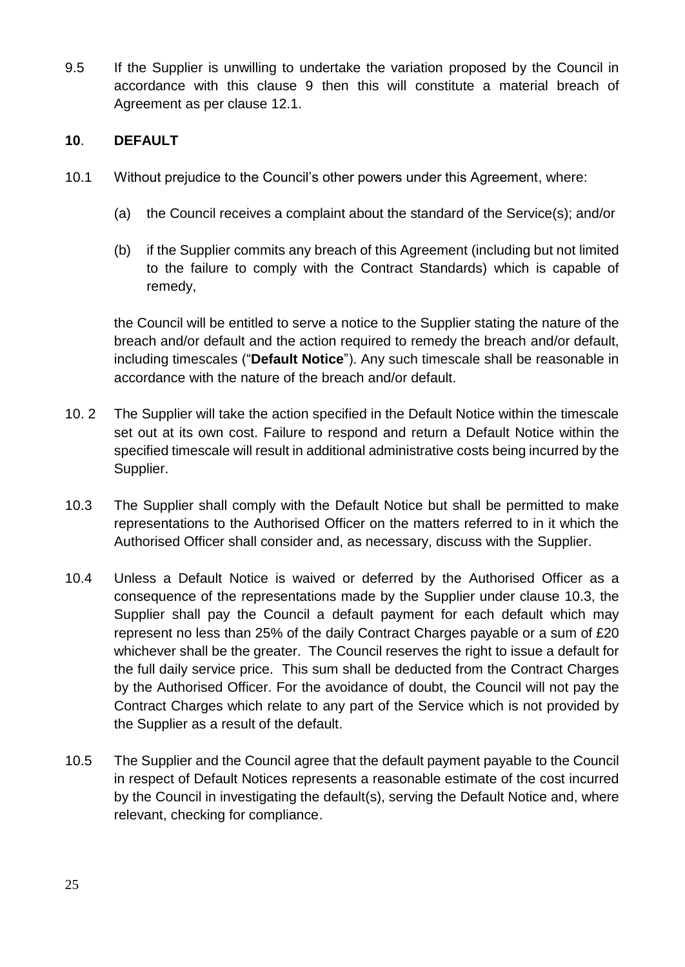9.5 If the Supplier is unwilling to undertake the variation proposed by the Council in accordance with this clause 9 then this will constitute a material breach of Agreement as per clause 12.1.

# **10**. **DEFAULT**

- 10.1 Without prejudice to the Council's other powers under this Agreement, where:
	- (a) the Council receives a complaint about the standard of the Service(s); and/or
	- (b) if the Supplier commits any breach of this Agreement (including but not limited to the failure to comply with the Contract Standards) which is capable of remedy,

the Council will be entitled to serve a notice to the Supplier stating the nature of the breach and/or default and the action required to remedy the breach and/or default, including timescales ("**Default Notice**"). Any such timescale shall be reasonable in accordance with the nature of the breach and/or default.

- 10. 2 The Supplier will take the action specified in the Default Notice within the timescale set out at its own cost. Failure to respond and return a Default Notice within the specified timescale will result in additional administrative costs being incurred by the Supplier.
- 10.3 The Supplier shall comply with the Default Notice but shall be permitted to make representations to the Authorised Officer on the matters referred to in it which the Authorised Officer shall consider and, as necessary, discuss with the Supplier.
- 10.4 Unless a Default Notice is waived or deferred by the Authorised Officer as a consequence of the representations made by the Supplier under clause 10.3, the Supplier shall pay the Council a default payment for each default which may represent no less than 25% of the daily Contract Charges payable or a sum of £20 whichever shall be the greater. The Council reserves the right to issue a default for the full daily service price. This sum shall be deducted from the Contract Charges by the Authorised Officer. For the avoidance of doubt, the Council will not pay the Contract Charges which relate to any part of the Service which is not provided by the Supplier as a result of the default.
- 10.5 The Supplier and the Council agree that the default payment payable to the Council in respect of Default Notices represents a reasonable estimate of the cost incurred by the Council in investigating the default(s), serving the Default Notice and, where relevant, checking for compliance.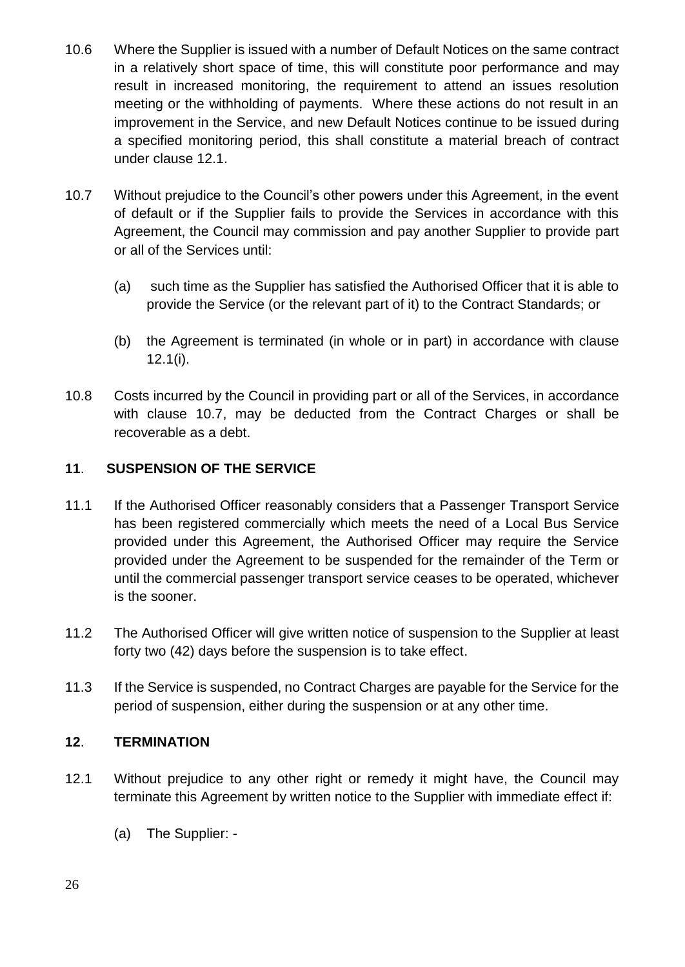- 10.6 Where the Supplier is issued with a number of Default Notices on the same contract in a relatively short space of time, this will constitute poor performance and may result in increased monitoring, the requirement to attend an issues resolution meeting or the withholding of payments. Where these actions do not result in an improvement in the Service, and new Default Notices continue to be issued during a specified monitoring period, this shall constitute a material breach of contract under clause 12.1.
- 10.7 Without prejudice to the Council's other powers under this Agreement, in the event of default or if the Supplier fails to provide the Services in accordance with this Agreement, the Council may commission and pay another Supplier to provide part or all of the Services until:
	- (a) such time as the Supplier has satisfied the Authorised Officer that it is able to provide the Service (or the relevant part of it) to the Contract Standards; or
	- (b) the Agreement is terminated (in whole or in part) in accordance with clause 12.1(i).
- 10.8 Costs incurred by the Council in providing part or all of the Services, in accordance with clause 10.7, may be deducted from the Contract Charges or shall be recoverable as a debt.

# **11**. **SUSPENSION OF THE SERVICE**

- 11.1 If the Authorised Officer reasonably considers that a Passenger Transport Service has been registered commercially which meets the need of a Local Bus Service provided under this Agreement, the Authorised Officer may require the Service provided under the Agreement to be suspended for the remainder of the Term or until the commercial passenger transport service ceases to be operated, whichever is the sooner.
- 11.2 The Authorised Officer will give written notice of suspension to the Supplier at least forty two (42) days before the suspension is to take effect.
- 11.3 If the Service is suspended, no Contract Charges are payable for the Service for the period of suspension, either during the suspension or at any other time.

# **12**. **TERMINATION**

- 12.1 Without prejudice to any other right or remedy it might have, the Council may terminate this Agreement by written notice to the Supplier with immediate effect if:
	- (a) The Supplier: -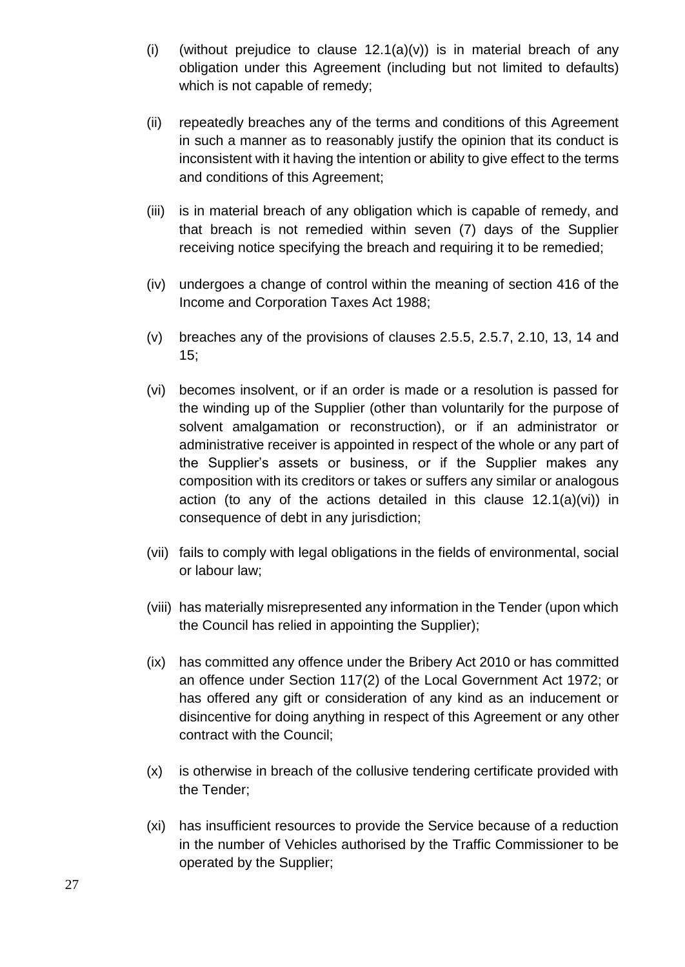- (i) (without prejudice to clause  $12.1(a)(v)$ ) is in material breach of any obligation under this Agreement (including but not limited to defaults) which is not capable of remedy;
- (ii) repeatedly breaches any of the terms and conditions of this Agreement in such a manner as to reasonably justify the opinion that its conduct is inconsistent with it having the intention or ability to give effect to the terms and conditions of this Agreement;
- (iii) is in material breach of any obligation which is capable of remedy, and that breach is not remedied within seven (7) days of the Supplier receiving notice specifying the breach and requiring it to be remedied;
- (iv) undergoes a change of control within the meaning of section 416 of the Income and Corporation Taxes Act 1988;
- (v) breaches any of the provisions of clauses 2.5.5, 2.5.7, 2.10, 13, 14 and 15;
- (vi) becomes insolvent, or if an order is made or a resolution is passed for the winding up of the Supplier (other than voluntarily for the purpose of solvent amalgamation or reconstruction), or if an administrator or administrative receiver is appointed in respect of the whole or any part of the Supplier's assets or business, or if the Supplier makes any composition with its creditors or takes or suffers any similar or analogous action (to any of the actions detailed in this clause 12.1(a)(vi)) in consequence of debt in any jurisdiction;
- (vii) fails to comply with legal obligations in the fields of environmental, social or labour law;
- (viii) has materially misrepresented any information in the Tender (upon which the Council has relied in appointing the Supplier);
- (ix) has committed any offence under the Bribery Act 2010 or has committed an offence under Section 117(2) of the Local Government Act 1972; or has offered any gift or consideration of any kind as an inducement or disincentive for doing anything in respect of this Agreement or any other contract with the Council;
- (x) is otherwise in breach of the collusive tendering certificate provided with the Tender;
- (xi) has insufficient resources to provide the Service because of a reduction in the number of Vehicles authorised by the Traffic Commissioner to be operated by the Supplier;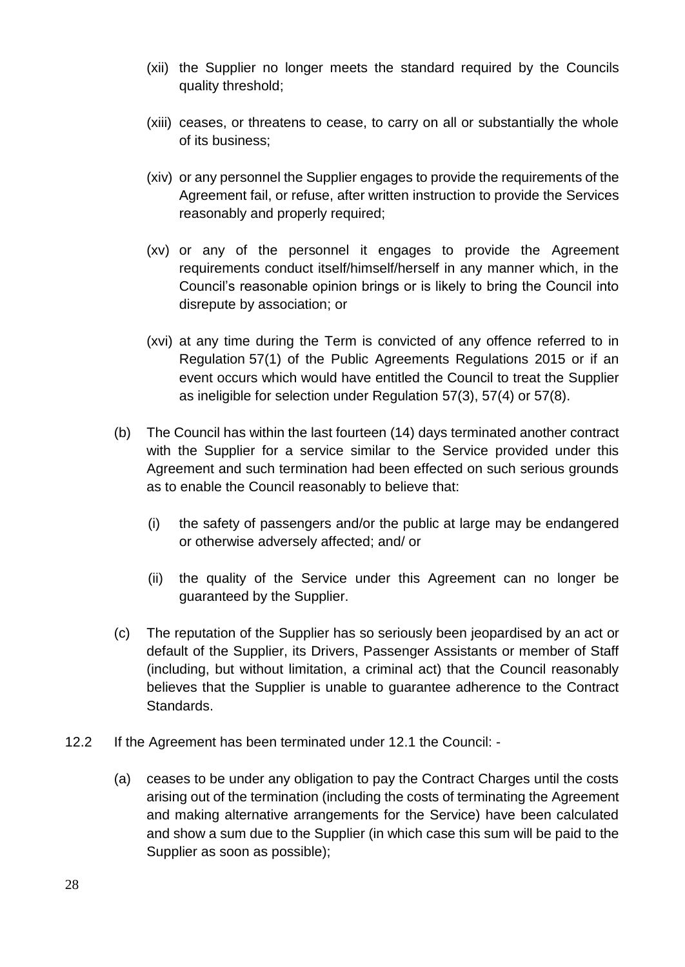- (xii) the Supplier no longer meets the standard required by the Councils quality threshold;
- (xiii) ceases, or threatens to cease, to carry on all or substantially the whole of its business;
- (xiv) or any personnel the Supplier engages to provide the requirements of the Agreement fail, or refuse, after written instruction to provide the Services reasonably and properly required;
- (xv) or any of the personnel it engages to provide the Agreement requirements conduct itself/himself/herself in any manner which, in the Council's reasonable opinion brings or is likely to bring the Council into disrepute by association; or
- (xvi) at any time during the Term is convicted of any offence referred to in Regulation 57(1) of the Public Agreements Regulations 2015 or if an event occurs which would have entitled the Council to treat the Supplier as ineligible for selection under Regulation 57(3), 57(4) or 57(8).
- (b) The Council has within the last fourteen (14) days terminated another contract with the Supplier for a service similar to the Service provided under this Agreement and such termination had been effected on such serious grounds as to enable the Council reasonably to believe that:
	- (i) the safety of passengers and/or the public at large may be endangered or otherwise adversely affected; and/ or
	- (ii) the quality of the Service under this Agreement can no longer be guaranteed by the Supplier.
- (c) The reputation of the Supplier has so seriously been jeopardised by an act or default of the Supplier, its Drivers, Passenger Assistants or member of Staff (including, but without limitation, a criminal act) that the Council reasonably believes that the Supplier is unable to guarantee adherence to the Contract Standards.
- 12.2 If the Agreement has been terminated under 12.1 the Council:
	- (a) ceases to be under any obligation to pay the Contract Charges until the costs arising out of the termination (including the costs of terminating the Agreement and making alternative arrangements for the Service) have been calculated and show a sum due to the Supplier (in which case this sum will be paid to the Supplier as soon as possible);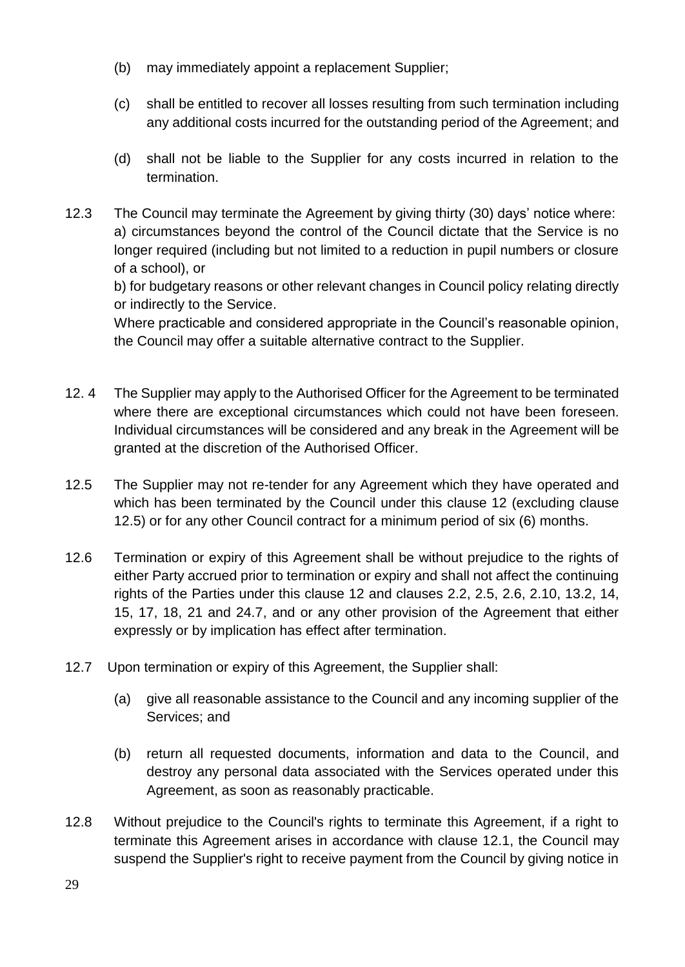- (b) may immediately appoint a replacement Supplier;
- (c) shall be entitled to recover all losses resulting from such termination including any additional costs incurred for the outstanding period of the Agreement; and
- (d) shall not be liable to the Supplier for any costs incurred in relation to the termination.
- 12.3 The Council may terminate the Agreement by giving thirty (30) days' notice where: a) circumstances beyond the control of the Council dictate that the Service is no longer required (including but not limited to a reduction in pupil numbers or closure of a school), or

b) for budgetary reasons or other relevant changes in Council policy relating directly or indirectly to the Service.

Where practicable and considered appropriate in the Council's reasonable opinion, the Council may offer a suitable alternative contract to the Supplier.

- 12. 4 The Supplier may apply to the Authorised Officer for the Agreement to be terminated where there are exceptional circumstances which could not have been foreseen. Individual circumstances will be considered and any break in the Agreement will be granted at the discretion of the Authorised Officer.
- 12.5 The Supplier may not re-tender for any Agreement which they have operated and which has been terminated by the Council under this clause 12 (excluding clause 12.5) or for any other Council contract for a minimum period of six (6) months.
- 12.6 Termination or expiry of this Agreement shall be without prejudice to the rights of either Party accrued prior to termination or expiry and shall not affect the continuing rights of the Parties under this clause 12 and clauses 2.2, 2.5, 2.6, 2.10, 13.2, 14, 15, 17, 18, 21 and 24.7, and or any other provision of the Agreement that either expressly or by implication has effect after termination.
- 12.7 Upon termination or expiry of this Agreement, the Supplier shall:
	- (a) give all reasonable assistance to the Council and any incoming supplier of the Services; and
	- (b) return all requested documents, information and data to the Council, and destroy any personal data associated with the Services operated under this Agreement, as soon as reasonably practicable.
- 12.8 Without prejudice to the Council's rights to terminate this Agreement, if a right to terminate this Agreement arises in accordance with clause 12.1, the Council may suspend the Supplier's right to receive payment from the Council by giving notice in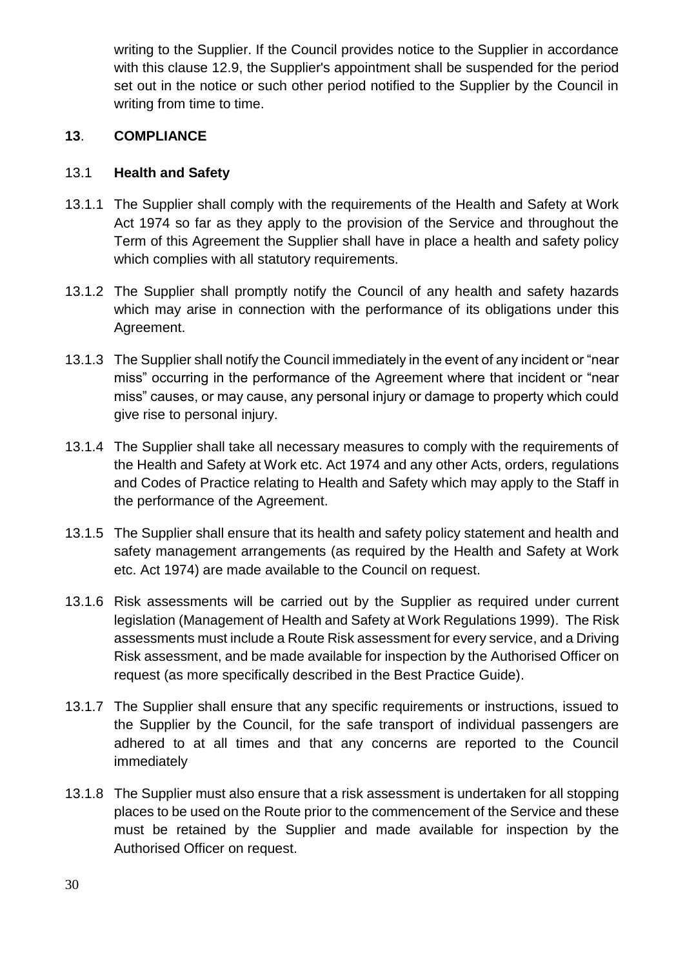writing to the Supplier. If the Council provides notice to the Supplier in accordance with this clause 12.9, the Supplier's appointment shall be suspended for the period set out in the notice or such other period notified to the Supplier by the Council in writing from time to time.

# **13**. **COMPLIANCE**

## 13.1 **Health and Safety**

- 13.1.1 The Supplier shall comply with the requirements of the Health and Safety at Work Act 1974 so far as they apply to the provision of the Service and throughout the Term of this Agreement the Supplier shall have in place a health and safety policy which complies with all statutory requirements.
- 13.1.2 The Supplier shall promptly notify the Council of any health and safety hazards which may arise in connection with the performance of its obligations under this Agreement.
- 13.1.3 The Supplier shall notify the Council immediately in the event of any incident or "near miss" occurring in the performance of the Agreement where that incident or "near miss" causes, or may cause, any personal injury or damage to property which could give rise to personal injury.
- 13.1.4 The Supplier shall take all necessary measures to comply with the requirements of the Health and Safety at Work etc. Act 1974 and any other Acts, orders, regulations and Codes of Practice relating to Health and Safety which may apply to the Staff in the performance of the Agreement.
- 13.1.5 The Supplier shall ensure that its health and safety policy statement and health and safety management arrangements (as required by the Health and Safety at Work etc. Act 1974) are made available to the Council on request.
- 13.1.6 Risk assessments will be carried out by the Supplier as required under current legislation (Management of Health and Safety at Work Regulations 1999). The Risk assessments must include a Route Risk assessment for every service, and a Driving Risk assessment, and be made available for inspection by the Authorised Officer on request (as more specifically described in the Best Practice Guide).
- 13.1.7 The Supplier shall ensure that any specific requirements or instructions, issued to the Supplier by the Council, for the safe transport of individual passengers are adhered to at all times and that any concerns are reported to the Council immediately
- 13.1.8 The Supplier must also ensure that a risk assessment is undertaken for all stopping places to be used on the Route prior to the commencement of the Service and these must be retained by the Supplier and made available for inspection by the Authorised Officer on request.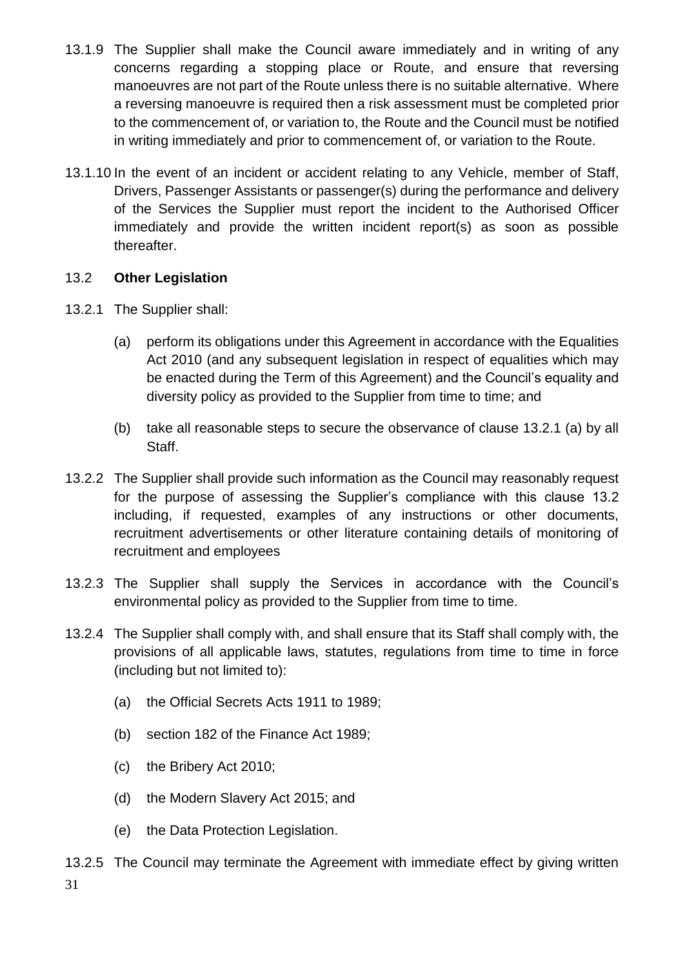- 13.1.9 The Supplier shall make the Council aware immediately and in writing of any concerns regarding a stopping place or Route, and ensure that reversing manoeuvres are not part of the Route unless there is no suitable alternative. Where a reversing manoeuvre is required then a risk assessment must be completed prior to the commencement of, or variation to, the Route and the Council must be notified in writing immediately and prior to commencement of, or variation to the Route.
- 13.1.10 In the event of an incident or accident relating to any Vehicle, member of Staff, Drivers, Passenger Assistants or passenger(s) during the performance and delivery of the Services the Supplier must report the incident to the Authorised Officer immediately and provide the written incident report(s) as soon as possible thereafter.

## 13.2 **Other Legislation**

- 13.2.1 The Supplier shall:
	- (a) perform its obligations under this Agreement in accordance with the Equalities Act 2010 (and any subsequent legislation in respect of equalities which may be enacted during the Term of this Agreement) and the Council's equality and diversity policy as provided to the Supplier from time to time; and
	- (b) take all reasonable steps to secure the observance of clause 13.2.1 (a) by all Staff.
- 13.2.2 The Supplier shall provide such information as the Council may reasonably request for the purpose of assessing the Supplier's compliance with this clause 13.2 including, if requested, examples of any instructions or other documents, recruitment advertisements or other literature containing details of monitoring of recruitment and employees
- 13.2.3 The Supplier shall supply the Services in accordance with the Council's environmental policy as provided to the Supplier from time to time.
- 13.2.4 The Supplier shall comply with, and shall ensure that its Staff shall comply with, the provisions of all applicable laws, statutes, regulations from time to time in force (including but not limited to):
	- (a) the Official Secrets Acts 1911 to 1989;
	- (b) section 182 of the Finance Act 1989;
	- (c) the Bribery Act 2010;
	- (d) the Modern Slavery Act 2015; and
	- (e) the Data Protection Legislation.
- 31 13.2.5 The Council may terminate the Agreement with immediate effect by giving written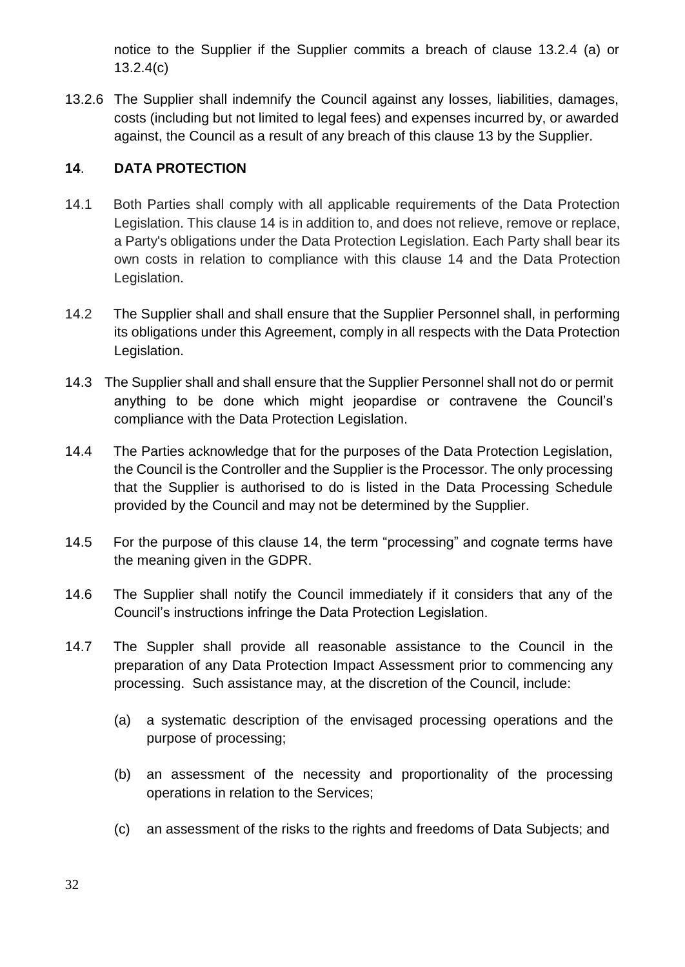notice to the Supplier if the Supplier commits a breach of clause 13.2.4 (a) or 13.2.4(c)

13.2.6 The Supplier shall indemnify the Council against any losses, liabilities, damages, costs (including but not limited to legal fees) and expenses incurred by, or awarded against, the Council as a result of any breach of this clause 13 by the Supplier.

# **14**. **DATA PROTECTION**

- 14.1 Both Parties shall comply with all applicable requirements of the Data Protection Legislation. This clause 14 is in addition to, and does not relieve, remove or replace, a Party's obligations under the Data Protection Legislation. Each Party shall bear its own costs in relation to compliance with this clause 14 and the Data Protection Legislation.
- 14.2 The Supplier shall and shall ensure that the Supplier Personnel shall, in performing its obligations under this Agreement, comply in all respects with the Data Protection Legislation.
- 14.3 The Supplier shall and shall ensure that the Supplier Personnel shall not do or permit anything to be done which might jeopardise or contravene the Council's compliance with the Data Protection Legislation.
- 14.4 The Parties acknowledge that for the purposes of the Data Protection Legislation, the Council is the Controller and the Supplier is the Processor. The only processing that the Supplier is authorised to do is listed in the Data Processing Schedule provided by the Council and may not be determined by the Supplier.
- 14.5 For the purpose of this clause 14, the term "processing" and cognate terms have the meaning given in the GDPR.
- 14.6 The Supplier shall notify the Council immediately if it considers that any of the Council's instructions infringe the Data Protection Legislation.
- 14.7 The Suppler shall provide all reasonable assistance to the Council in the preparation of any Data Protection Impact Assessment prior to commencing any processing. Such assistance may, at the discretion of the Council, include:
	- (a) a systematic description of the envisaged processing operations and the purpose of processing;
	- (b) an assessment of the necessity and proportionality of the processing operations in relation to the Services;
	- (c) an assessment of the risks to the rights and freedoms of Data Subjects; and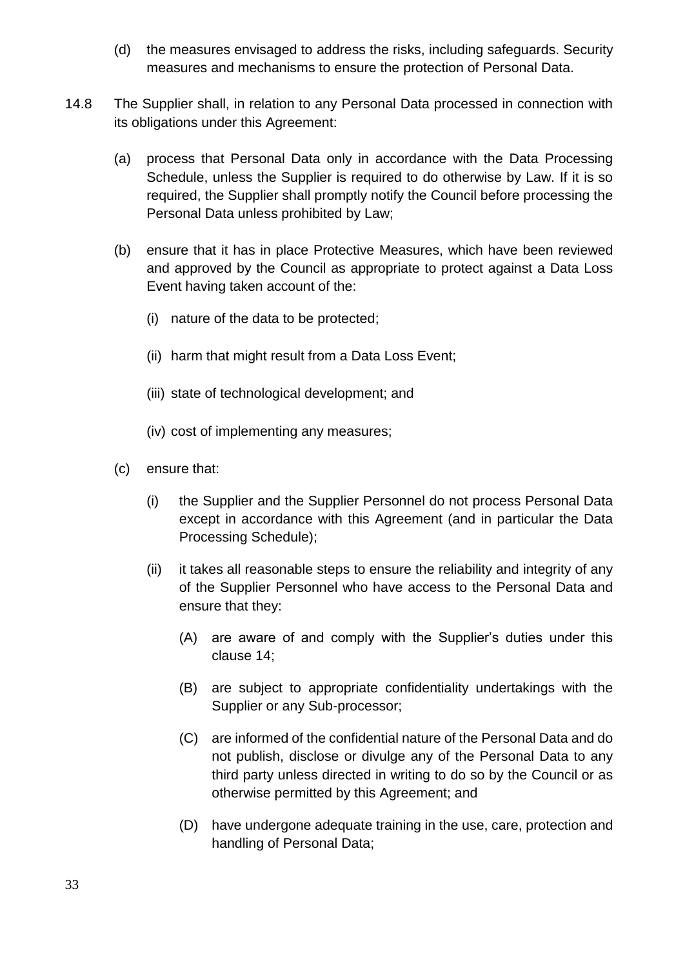- (d) the measures envisaged to address the risks, including safeguards. Security measures and mechanisms to ensure the protection of Personal Data.
- 14.8 The Supplier shall, in relation to any Personal Data processed in connection with its obligations under this Agreement:
	- (a) process that Personal Data only in accordance with the Data Processing Schedule, unless the Supplier is required to do otherwise by Law. If it is so required, the Supplier shall promptly notify the Council before processing the Personal Data unless prohibited by Law;
	- (b) ensure that it has in place Protective Measures, which have been reviewed and approved by the Council as appropriate to protect against a Data Loss Event having taken account of the:
		- (i) nature of the data to be protected;
		- (ii) harm that might result from a Data Loss Event;
		- (iii) state of technological development; and
		- (iv) cost of implementing any measures;
	- (c) ensure that:
		- (i) the Supplier and the Supplier Personnel do not process Personal Data except in accordance with this Agreement (and in particular the Data Processing Schedule);
		- (ii) it takes all reasonable steps to ensure the reliability and integrity of any of the Supplier Personnel who have access to the Personal Data and ensure that they:
			- (A) are aware of and comply with the Supplier's duties under this clause 14;
			- (B) are subject to appropriate confidentiality undertakings with the Supplier or any Sub-processor;
			- (C) are informed of the confidential nature of the Personal Data and do not publish, disclose or divulge any of the Personal Data to any third party unless directed in writing to do so by the Council or as otherwise permitted by this Agreement; and
			- (D) have undergone adequate training in the use, care, protection and handling of Personal Data;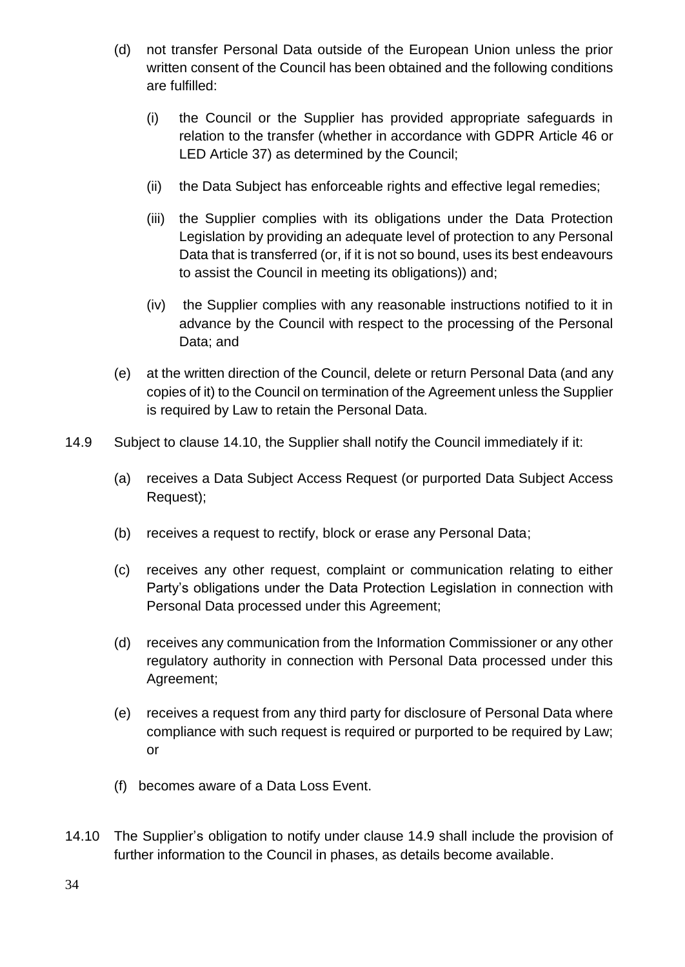- (d) not transfer Personal Data outside of the European Union unless the prior written consent of the Council has been obtained and the following conditions are fulfilled:
	- (i) the Council or the Supplier has provided appropriate safeguards in relation to the transfer (whether in accordance with GDPR Article 46 or LED Article 37) as determined by the Council;
	- (ii) the Data Subject has enforceable rights and effective legal remedies;
	- (iii) the Supplier complies with its obligations under the Data Protection Legislation by providing an adequate level of protection to any Personal Data that is transferred (or, if it is not so bound, uses its best endeavours to assist the Council in meeting its obligations)) and;
	- (iv) the Supplier complies with any reasonable instructions notified to it in advance by the Council with respect to the processing of the Personal Data; and
- (e) at the written direction of the Council, delete or return Personal Data (and any copies of it) to the Council on termination of the Agreement unless the Supplier is required by Law to retain the Personal Data.
- 14.9 Subject to clause 14.10, the Supplier shall notify the Council immediately if it:
	- (a) receives a Data Subject Access Request (or purported Data Subject Access Request);
	- (b) receives a request to rectify, block or erase any Personal Data;
	- (c) receives any other request, complaint or communication relating to either Party's obligations under the Data Protection Legislation in connection with Personal Data processed under this Agreement;
	- (d) receives any communication from the Information Commissioner or any other regulatory authority in connection with Personal Data processed under this Agreement;
	- (e) receives a request from any third party for disclosure of Personal Data where compliance with such request is required or purported to be required by Law; or
	- (f) becomes aware of a Data Loss Event.
- 14.10 The Supplier's obligation to notify under clause 14.9 shall include the provision of further information to the Council in phases, as details become available.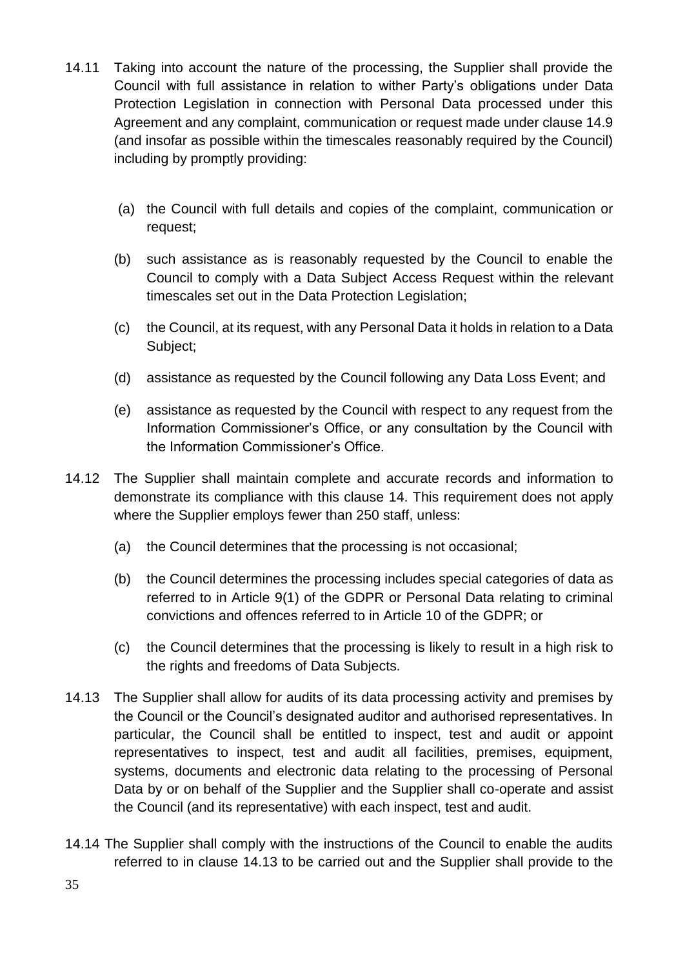- 14.11 Taking into account the nature of the processing, the Supplier shall provide the Council with full assistance in relation to wither Party's obligations under Data Protection Legislation in connection with Personal Data processed under this Agreement and any complaint, communication or request made under clause 14.9 (and insofar as possible within the timescales reasonably required by the Council) including by promptly providing:
	- (a) the Council with full details and copies of the complaint, communication or request;
	- (b) such assistance as is reasonably requested by the Council to enable the Council to comply with a Data Subject Access Request within the relevant timescales set out in the Data Protection Legislation;
	- (c) the Council, at its request, with any Personal Data it holds in relation to a Data Subject;
	- (d) assistance as requested by the Council following any Data Loss Event; and
	- (e) assistance as requested by the Council with respect to any request from the Information Commissioner's Office, or any consultation by the Council with the Information Commissioner's Office.
- 14.12 The Supplier shall maintain complete and accurate records and information to demonstrate its compliance with this clause 14. This requirement does not apply where the Supplier employs fewer than 250 staff, unless:
	- (a) the Council determines that the processing is not occasional;
	- (b) the Council determines the processing includes special categories of data as referred to in Article 9(1) of the GDPR or Personal Data relating to criminal convictions and offences referred to in Article 10 of the GDPR; or
	- (c) the Council determines that the processing is likely to result in a high risk to the rights and freedoms of Data Subjects.
- 14.13 The Supplier shall allow for audits of its data processing activity and premises by the Council or the Council's designated auditor and authorised representatives. In particular, the Council shall be entitled to inspect, test and audit or appoint representatives to inspect, test and audit all facilities, premises, equipment, systems, documents and electronic data relating to the processing of Personal Data by or on behalf of the Supplier and the Supplier shall co-operate and assist the Council (and its representative) with each inspect, test and audit.
- 14.14 The Supplier shall comply with the instructions of the Council to enable the audits referred to in clause 14.13 to be carried out and the Supplier shall provide to the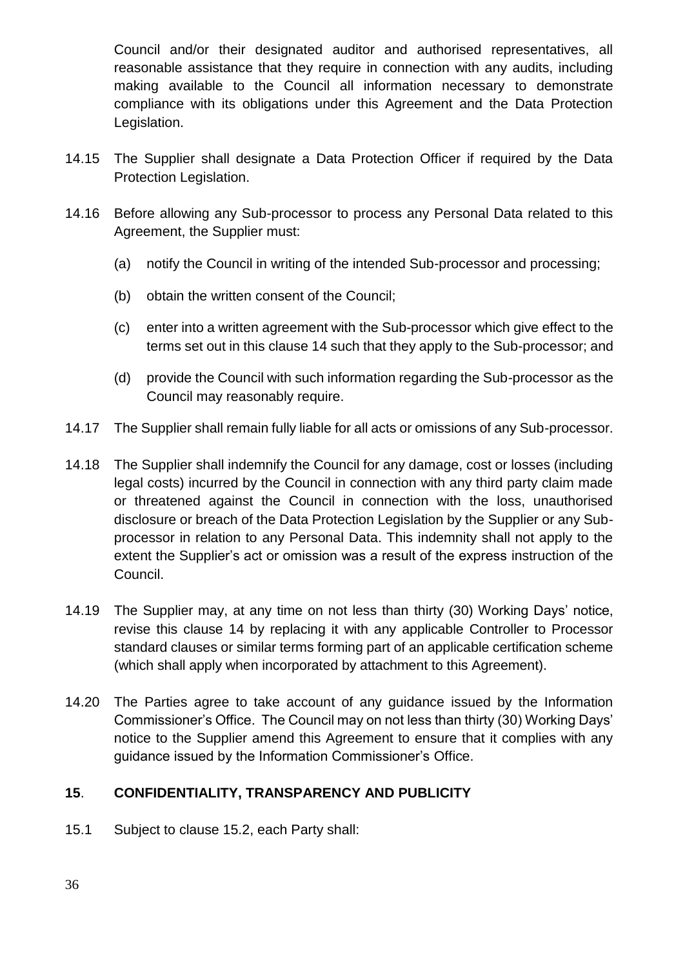Council and/or their designated auditor and authorised representatives, all reasonable assistance that they require in connection with any audits, including making available to the Council all information necessary to demonstrate compliance with its obligations under this Agreement and the Data Protection Legislation.

- 14.15 The Supplier shall designate a Data Protection Officer if required by the Data Protection Legislation.
- 14.16 Before allowing any Sub-processor to process any Personal Data related to this Agreement, the Supplier must:
	- (a) notify the Council in writing of the intended Sub-processor and processing;
	- (b) obtain the written consent of the Council;
	- (c) enter into a written agreement with the Sub-processor which give effect to the terms set out in this clause 14 such that they apply to the Sub-processor; and
	- (d) provide the Council with such information regarding the Sub-processor as the Council may reasonably require.
- 14.17 The Supplier shall remain fully liable for all acts or omissions of any Sub-processor.
- 14.18 The Supplier shall indemnify the Council for any damage, cost or losses (including legal costs) incurred by the Council in connection with any third party claim made or threatened against the Council in connection with the loss, unauthorised disclosure or breach of the Data Protection Legislation by the Supplier or any Subprocessor in relation to any Personal Data. This indemnity shall not apply to the extent the Supplier's act or omission was a result of the express instruction of the Council.
- 14.19 The Supplier may, at any time on not less than thirty (30) Working Days' notice, revise this clause 14 by replacing it with any applicable Controller to Processor standard clauses or similar terms forming part of an applicable certification scheme (which shall apply when incorporated by attachment to this Agreement).
- 14.20 The Parties agree to take account of any guidance issued by the Information Commissioner's Office. The Council may on not less than thirty (30) Working Days' notice to the Supplier amend this Agreement to ensure that it complies with any guidance issued by the Information Commissioner's Office.

# **15**. **CONFIDENTIALITY, TRANSPARENCY AND PUBLICITY**

15.1 Subject to clause 15.2, each Party shall: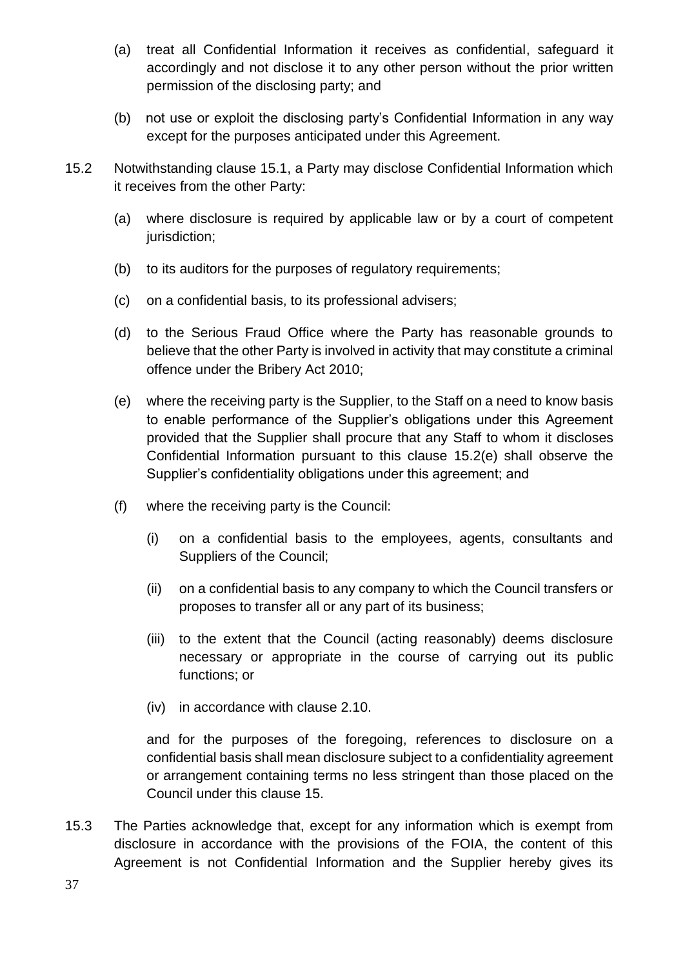- (a) treat all Confidential Information it receives as confidential, safeguard it accordingly and not disclose it to any other person without the prior written permission of the disclosing party; and
- (b) not use or exploit the disclosing party's Confidential Information in any way except for the purposes anticipated under this Agreement.
- 15.2 Notwithstanding clause 15.1, a Party may disclose Confidential Information which it receives from the other Party:
	- (a) where disclosure is required by applicable law or by a court of competent jurisdiction:
	- (b) to its auditors for the purposes of regulatory requirements;
	- (c) on a confidential basis, to its professional advisers;
	- (d) to the Serious Fraud Office where the Party has reasonable grounds to believe that the other Party is involved in activity that may constitute a criminal offence under the Bribery Act 2010;
	- (e) where the receiving party is the Supplier, to the Staff on a need to know basis to enable performance of the Supplier's obligations under this Agreement provided that the Supplier shall procure that any Staff to whom it discloses Confidential Information pursuant to this clause 15.2(e) shall observe the Supplier's confidentiality obligations under this agreement; and
	- (f) where the receiving party is the Council:
		- (i) on a confidential basis to the employees, agents, consultants and Suppliers of the Council;
		- (ii) on a confidential basis to any company to which the Council transfers or proposes to transfer all or any part of its business;
		- (iii) to the extent that the Council (acting reasonably) deems disclosure necessary or appropriate in the course of carrying out its public functions; or
		- (iv) in accordance with clause 2.10.

and for the purposes of the foregoing, references to disclosure on a confidential basis shall mean disclosure subject to a confidentiality agreement or arrangement containing terms no less stringent than those placed on the Council under this clause 15.

15.3 The Parties acknowledge that, except for any information which is exempt from disclosure in accordance with the provisions of the FOIA, the content of this Agreement is not Confidential Information and the Supplier hereby gives its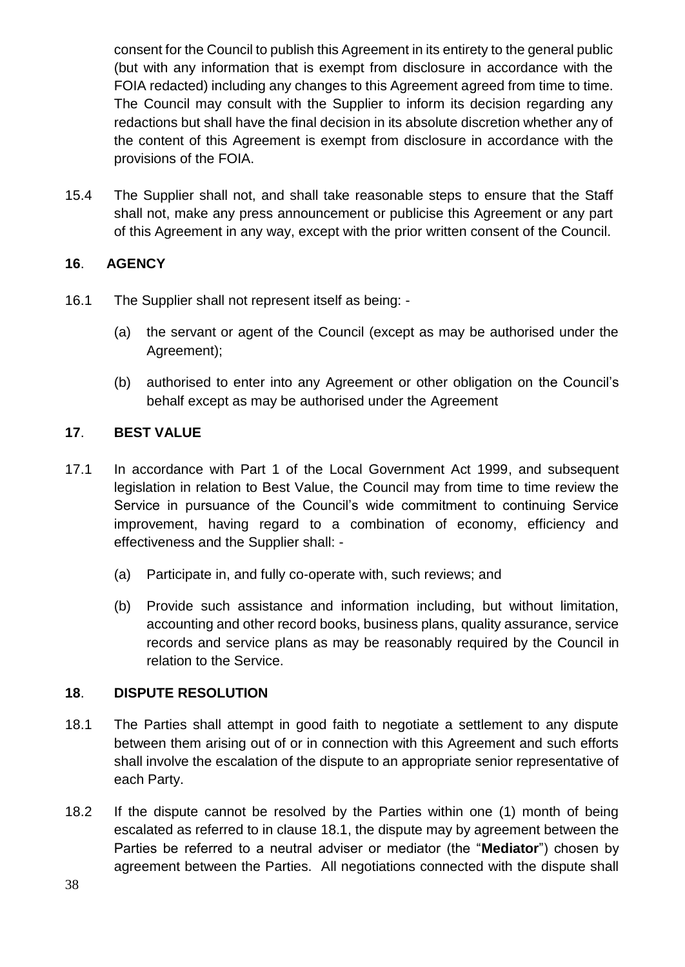consent for the Council to publish this Agreement in its entirety to the general public (but with any information that is exempt from disclosure in accordance with the FOIA redacted) including any changes to this Agreement agreed from time to time. The Council may consult with the Supplier to inform its decision regarding any redactions but shall have the final decision in its absolute discretion whether any of the content of this Agreement is exempt from disclosure in accordance with the provisions of the FOIA.

15.4 The Supplier shall not, and shall take reasonable steps to ensure that the Staff shall not, make any press announcement or publicise this Agreement or any part of this Agreement in any way, except with the prior written consent of the Council.

## **16**. **AGENCY**

- 16.1 The Supplier shall not represent itself as being:
	- (a) the servant or agent of the Council (except as may be authorised under the Agreement);
	- (b) authorised to enter into any Agreement or other obligation on the Council's behalf except as may be authorised under the Agreement

# **17**. **BEST VALUE**

- 17.1 In accordance with Part 1 of the Local Government Act 1999, and subsequent legislation in relation to Best Value, the Council may from time to time review the Service in pursuance of the Council's wide commitment to continuing Service improvement, having regard to a combination of economy, efficiency and effectiveness and the Supplier shall: -
	- (a) Participate in, and fully co-operate with, such reviews; and
	- (b) Provide such assistance and information including, but without limitation, accounting and other record books, business plans, quality assurance, service records and service plans as may be reasonably required by the Council in relation to the Service.

## **18**. **DISPUTE RESOLUTION**

- <span id="page-37-0"></span>18.1 The Parties shall attempt in good faith to negotiate a settlement to any dispute between them arising out of or in connection with this Agreement and such efforts shall involve the escalation of the dispute to an appropriate senior representative of each Party.
- 18.2 If the dispute cannot be resolved by the Parties within one (1) month of being escalated as referred to in clause [18.1,](#page-37-0) the dispute may by agreement between the Parties be referred to a neutral adviser or mediator (the "**Mediator**") chosen by agreement between the Parties. All negotiations connected with the dispute shall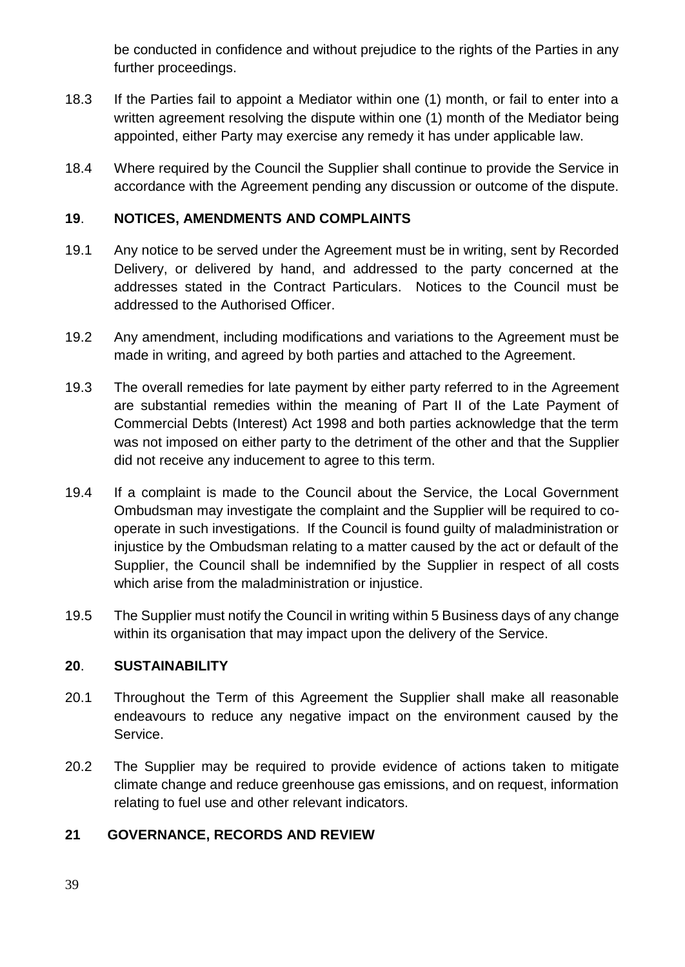be conducted in confidence and without prejudice to the rights of the Parties in any further proceedings.

- 18.3 If the Parties fail to appoint a Mediator within one (1) month, or fail to enter into a written agreement resolving the dispute within one (1) month of the Mediator being appointed, either Party may exercise any remedy it has under applicable law.
- 18.4 Where required by the Council the Supplier shall continue to provide the Service in accordance with the Agreement pending any discussion or outcome of the dispute.

# **19**. **NOTICES, AMENDMENTS AND COMPLAINTS**

- 19.1 Any notice to be served under the Agreement must be in writing, sent by Recorded Delivery, or delivered by hand, and addressed to the party concerned at the addresses stated in the Contract Particulars. Notices to the Council must be addressed to the Authorised Officer.
- 19.2 Any amendment, including modifications and variations to the Agreement must be made in writing, and agreed by both parties and attached to the Agreement.
- 19.3 The overall remedies for late payment by either party referred to in the Agreement are substantial remedies within the meaning of Part II of the Late Payment of Commercial Debts (Interest) Act 1998 and both parties acknowledge that the term was not imposed on either party to the detriment of the other and that the Supplier did not receive any inducement to agree to this term.
- 19.4 If a complaint is made to the Council about the Service, the Local Government Ombudsman may investigate the complaint and the Supplier will be required to cooperate in such investigations. If the Council is found guilty of maladministration or injustice by the Ombudsman relating to a matter caused by the act or default of the Supplier, the Council shall be indemnified by the Supplier in respect of all costs which arise from the maladministration or injustice.
- 19.5 The Supplier must notify the Council in writing within 5 Business days of any change within its organisation that may impact upon the delivery of the Service.

## **20**. **SUSTAINABILITY**

- 20.1 Throughout the Term of this Agreement the Supplier shall make all reasonable endeavours to reduce any negative impact on the environment caused by the Service.
- 20.2 The Supplier may be required to provide evidence of actions taken to mitigate climate change and reduce greenhouse gas emissions, and on request, information relating to fuel use and other relevant indicators.

# **21 GOVERNANCE, RECORDS AND REVIEW**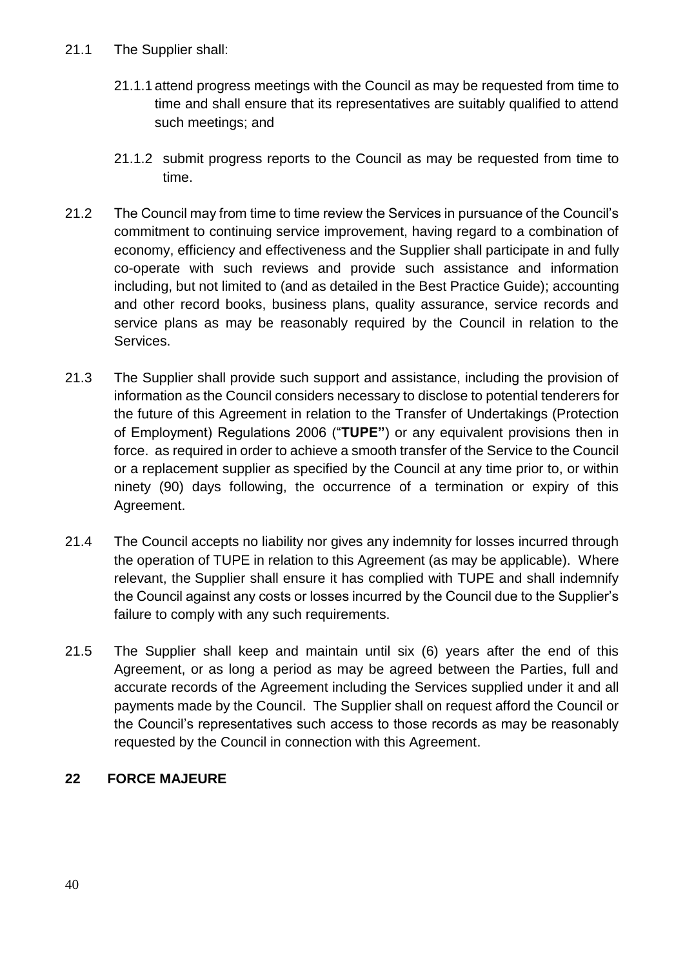- 21.1.1 attend progress meetings with the Council as may be requested from time to time and shall ensure that its representatives are suitably qualified to attend such meetings; and
- 21.1.2 submit progress reports to the Council as may be requested from time to time.
- 21.2 The Council may from time to time review the Services in pursuance of the Council's commitment to continuing service improvement, having regard to a combination of economy, efficiency and effectiveness and the Supplier shall participate in and fully co-operate with such reviews and provide such assistance and information including, but not limited to (and as detailed in the Best Practice Guide); accounting and other record books, business plans, quality assurance, service records and service plans as may be reasonably required by the Council in relation to the Services.
- 21.3 The Supplier shall provide such support and assistance, including the provision of information as the Council considers necessary to disclose to potential tenderers for the future of this Agreement in relation to the Transfer of Undertakings (Protection of Employment) Regulations 2006 ("**TUPE"**) or any equivalent provisions then in force. as required in order to achieve a smooth transfer of the Service to the Council or a replacement supplier as specified by the Council at any time prior to, or within ninety (90) days following, the occurrence of a termination or expiry of this Agreement.
- 21.4 The Council accepts no liability nor gives any indemnity for losses incurred through the operation of TUPE in relation to this Agreement (as may be applicable). Where relevant, the Supplier shall ensure it has complied with TUPE and shall indemnify the Council against any costs or losses incurred by the Council due to the Supplier's failure to comply with any such requirements.
- 21.5 The Supplier shall keep and maintain until six (6) years after the end of this Agreement, or as long a period as may be agreed between the Parties, full and accurate records of the Agreement including the Services supplied under it and all payments made by the Council. The Supplier shall on request afford the Council or the Council's representatives such access to those records as may be reasonably requested by the Council in connection with this Agreement.

# **22 FORCE MAJEURE**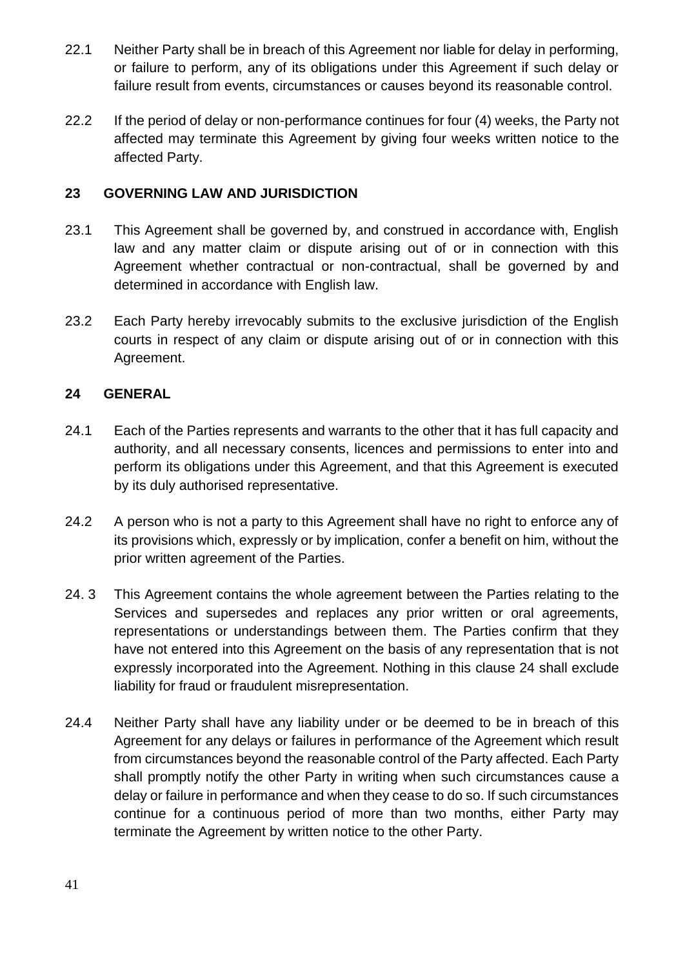- 22.1 Neither Party shall be in breach of this Agreement nor liable for delay in performing, or failure to perform, any of its obligations under this Agreement if such delay or failure result from events, circumstances or causes beyond its reasonable control.
- 22.2 If the period of delay or non-performance continues for four (4) weeks, the Party not affected may terminate this Agreement by giving four weeks written notice to the affected Party.

## **23 GOVERNING LAW AND JURISDICTION**

- 23.1 This Agreement shall be governed by, and construed in accordance with, English law and any matter claim or dispute arising out of or in connection with this Agreement whether contractual or non-contractual, shall be governed by and determined in accordance with English law.
- 23.2 Each Party hereby irrevocably submits to the exclusive jurisdiction of the English courts in respect of any claim or dispute arising out of or in connection with this Agreement.

## **24 GENERAL**

- 24.1 Each of the Parties represents and warrants to the other that it has full capacity and authority, and all necessary consents, licences and permissions to enter into and perform its obligations under this Agreement, and that this Agreement is executed by its duly authorised representative.
- 24.2 A person who is not a party to this Agreement shall have no right to enforce any of its provisions which, expressly or by implication, confer a benefit on him, without the prior written agreement of the Parties.
- 24. 3 This Agreement contains the whole agreement between the Parties relating to the Services and supersedes and replaces any prior written or oral agreements, representations or understandings between them. The Parties confirm that they have not entered into this Agreement on the basis of any representation that is not expressly incorporated into the Agreement. Nothing in this clause 24 shall exclude liability for fraud or fraudulent misrepresentation.
- 24.4 Neither Party shall have any liability under or be deemed to be in breach of this Agreement for any delays or failures in performance of the Agreement which result from circumstances beyond the reasonable control of the Party affected. Each Party shall promptly notify the other Party in writing when such circumstances cause a delay or failure in performance and when they cease to do so. If such circumstances continue for a continuous period of more than two months, either Party may terminate the Agreement by written notice to the other Party.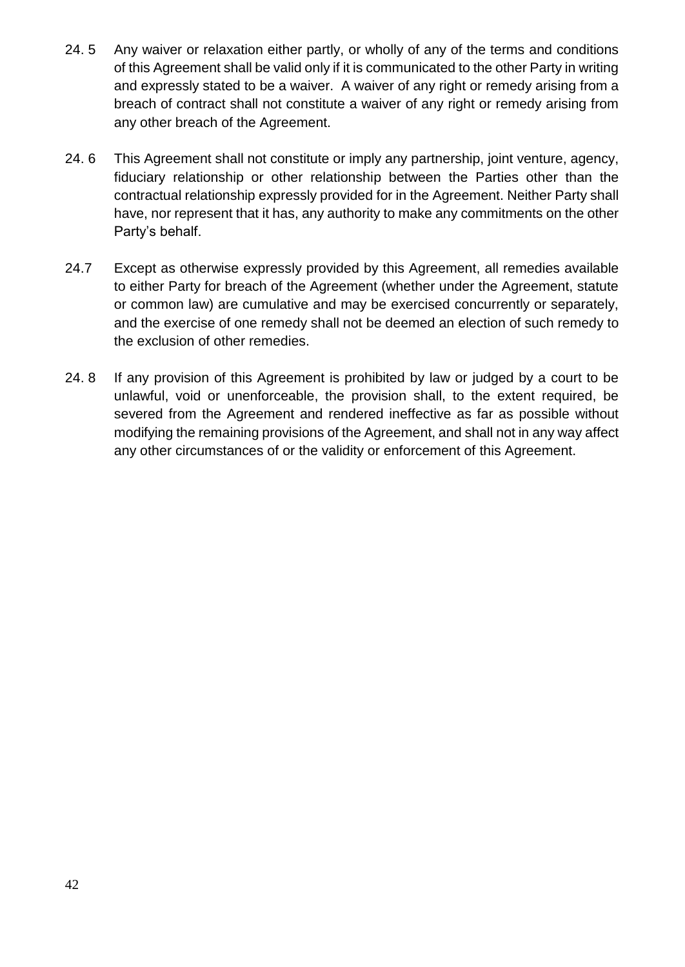- 24. 5 Any waiver or relaxation either partly, or wholly of any of the terms and conditions of this Agreement shall be valid only if it is communicated to the other Party in writing and expressly stated to be a waiver. A waiver of any right or remedy arising from a breach of contract shall not constitute a waiver of any right or remedy arising from any other breach of the Agreement.
- 24. 6 This Agreement shall not constitute or imply any partnership, joint venture, agency, fiduciary relationship or other relationship between the Parties other than the contractual relationship expressly provided for in the Agreement. Neither Party shall have, nor represent that it has, any authority to make any commitments on the other Party's behalf.
- 24.7 Except as otherwise expressly provided by this Agreement, all remedies available to either Party for breach of the Agreement (whether under the Agreement, statute or common law) are cumulative and may be exercised concurrently or separately, and the exercise of one remedy shall not be deemed an election of such remedy to the exclusion of other remedies.
- 24. 8 If any provision of this Agreement is prohibited by law or judged by a court to be unlawful, void or unenforceable, the provision shall, to the extent required, be severed from the Agreement and rendered ineffective as far as possible without modifying the remaining provisions of the Agreement, and shall not in any way affect any other circumstances of or the validity or enforcement of this Agreement.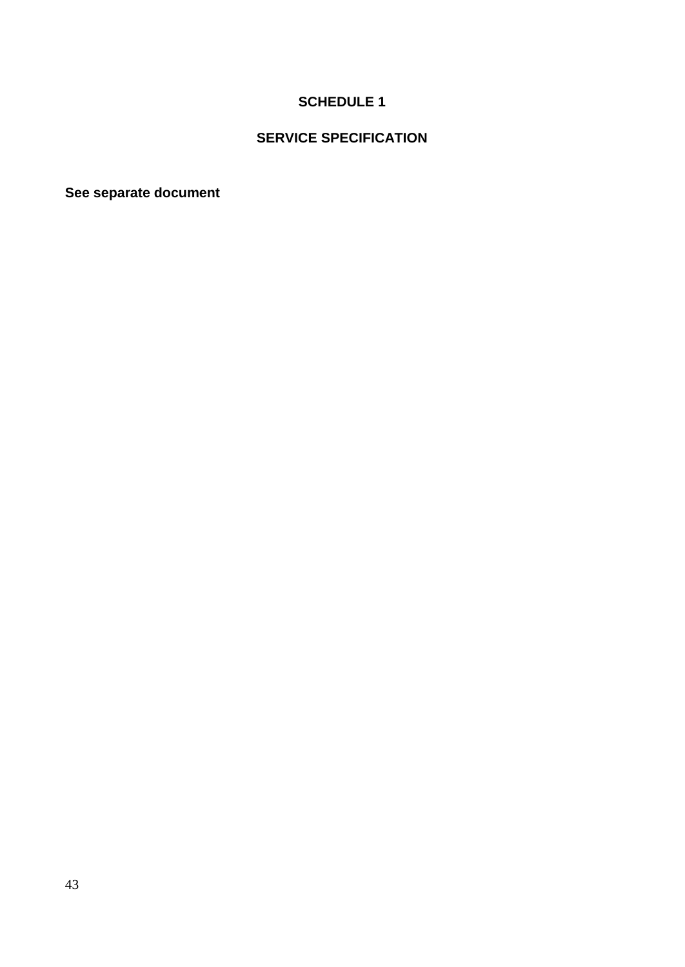# **SCHEDULE 1**

# **SERVICE SPECIFICATION**

**See separate document**